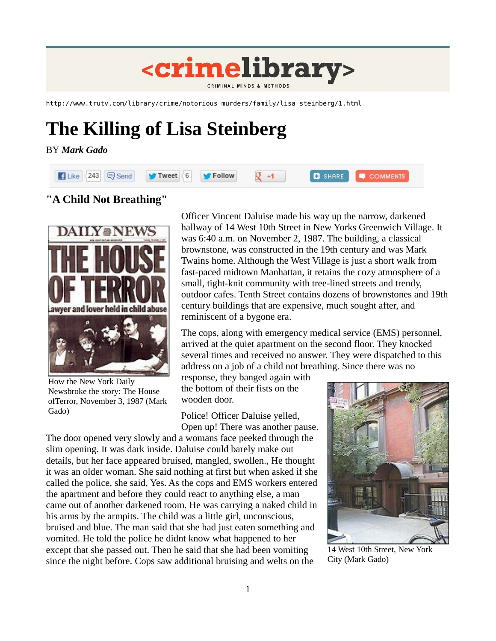

http://www.trutv.com/library/crime/notorious\_murders/family/lisa\_steinberg/1.html

# **The Killing of Lisa Steinberg**

#### BY *Mark Gado*



# **"A Child Not Breathing"**



How the New York Daily Newsbroke the story: The House ofTerror, November 3, 1987 (Mark Gado)

Officer Vincent Daluise made his way up the narrow, darkened hallway of 14 West 10th Street in New Yorks Greenwich Village. It was 6:40 a.m. on November 2, 1987. The building, a classical brownstone, was constructed in the 19th century and was Mark Twains home. Although the West Village is just a short walk from fast-paced midtown Manhattan, it retains the cozy atmosphere of a small, tight-knit community with tree-lined streets and trendy, outdoor cafes. Tenth Street contains dozens of brownstones and 19th century buildings that are expensive, much sought after, and reminiscent of a bygone era.

The cops, along with emergency medical service (EMS) personnel, arrived at the quiet apartment on the second floor. They knocked several times and received no answer. They were dispatched to this address on a job of a child not breathing. Since there was no

response, they banged again with the bottom of their fists on the wooden door.

Police! Officer Daluise yelled, Open up! There was another pause.

The door opened very slowly and a womans face peeked through the slim opening. It was dark inside. Daluise could barely make out details, but her face appeared bruised, mangled, swollen., He thought it was an older woman. She said nothing at first but when asked if she called the police, she said, Yes. As the cops and EMS workers entered the apartment and before they could react to anything else, a man came out of another darkened room. He was carrying a naked child in his arms by the armpits. The child was a little girl, unconscious, bruised and blue. The man said that she had just eaten something and vomited. He told the police he didnt know what happened to her except that she passed out. Then he said that she had been vomiting since the night before. Cops saw additional bruising and welts on the



14 West 10th Street, New York City (Mark Gado)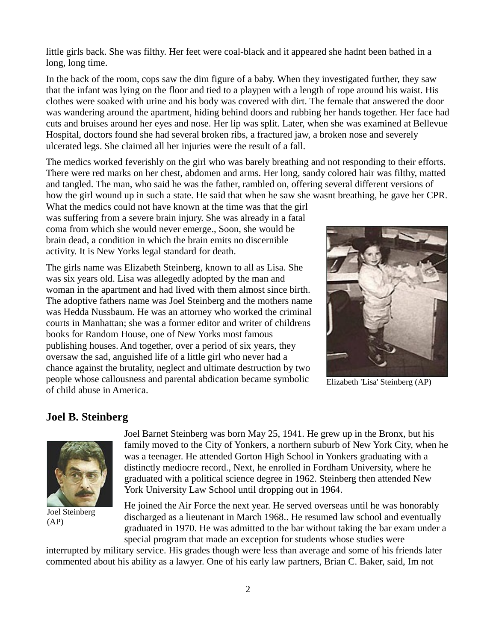little girls back. She was filthy. Her feet were coal-black and it appeared she hadnt been bathed in a long, long time.

In the back of the room, cops saw the dim figure of a baby. When they investigated further, they saw that the infant was lying on the floor and tied to a playpen with a length of rope around his waist. His clothes were soaked with urine and his body was covered with dirt. The female that answered the door was wandering around the apartment, hiding behind doors and rubbing her hands together. Her face had cuts and bruises around her eyes and nose. Her lip was split. Later, when she was examined at Bellevue Hospital, doctors found she had several broken ribs, a fractured jaw, a broken nose and severely ulcerated legs. She claimed all her injuries were the result of a fall.

The medics worked feverishly on the girl who was barely breathing and not responding to their efforts. There were red marks on her chest, abdomen and arms. Her long, sandy colored hair was filthy, matted and tangled. The man, who said he was the father, rambled on, offering several different versions of how the girl wound up in such a state. He said that when he saw she wasnt breathing, he gave her CPR.

What the medics could not have known at the time was that the girl was suffering from a severe brain injury. She was already in a fatal coma from which she would never emerge., Soon, she would be brain dead, a condition in which the brain emits no discernible activity. It is New Yorks legal standard for death.

The girls name was Elizabeth Steinberg, known to all as Lisa. She was six years old. Lisa was allegedly adopted by the man and woman in the apartment and had lived with them almost since birth. The adoptive fathers name was Joel Steinberg and the mothers name was Hedda Nussbaum. He was an attorney who worked the criminal courts in Manhattan; she was a former editor and writer of childrens books for Random House, one of New Yorks most famous publishing houses. And together, over a period of six years, they oversaw the sad, anguished life of a little girl who never had a chance against the brutality, neglect and ultimate destruction by two people whose callousness and parental abdication became symbolic of child abuse in America.



Elizabeth 'Lisa' Steinberg (AP)

## **Joel B. Steinberg**



Joel Steinberg (AP)

Joel Barnet Steinberg was born May 25, 1941. He grew up in the Bronx, but his family moved to the City of Yonkers, a northern suburb of New York City, when he was a teenager. He attended Gorton High School in Yonkers graduating with a distinctly mediocre record., Next, he enrolled in Fordham University, where he graduated with a political science degree in 1962. Steinberg then attended New York University Law School until dropping out in 1964.

He joined the Air Force the next year. He served overseas until he was honorably discharged as a lieutenant in March 1968.. He resumed law school and eventually graduated in 1970. He was admitted to the bar without taking the bar exam under a special program that made an exception for students whose studies were

interrupted by military service. His grades though were less than average and some of his friends later commented about his ability as a lawyer. One of his early law partners, Brian C. Baker, said, Im not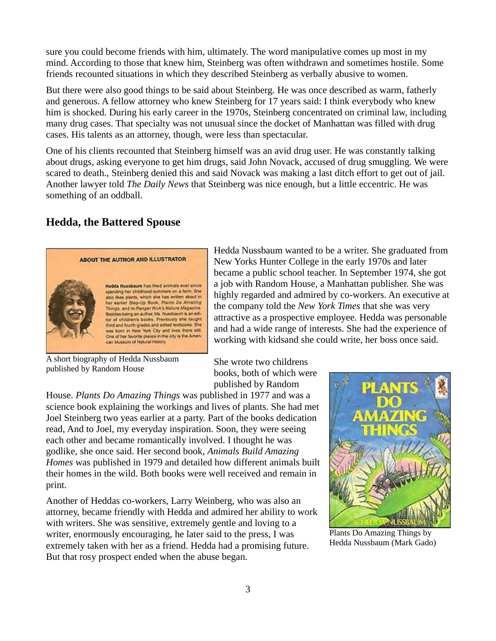sure you could become friends with him, ultimately. The word manipulative comes up most in my mind. According to those that knew him, Steinberg was often withdrawn and sometimes hostile. Some friends recounted situations in which they described Steinberg as verbally abusive to women.

But there were also good things to be said about Steinberg. He was once described as warm, fatherly and generous. A fellow attorney who knew Steinberg for 17 years said: I think everybody who knew him is shocked. During his early career in the 1970s, Steinberg concentrated on criminal law, including many drug cases. That specialty was not unusual since the docket of Manhattan was filled with drug cases. His talents as an attorney, though, were less than spectacular.

One of his clients recounted that Steinberg himself was an avid drug user. He was constantly talking about drugs, asking everyone to get him drugs, said John Novack, accused of drug smuggling. We were scared to death., Steinberg denied this and said Novack was making a last ditch effort to get out of jail. Another lawyer told *The Daily News* that Steinberg was nice enough, but a little eccentric. He was something of an oddball.

## **Hedda, the Battered Spouse**



Hedda Nussbaum wanted to be a writer. She graduated from New Yorks Hunter College in the early 1970s and later became a public school teacher. In September 1974, she got a job with Random House, a Manhattan publisher. She was highly regarded and admired by co-workers. An executive at the company told the *New York Times* that she was very attractive as a prospective employee. Hedda was personable and had a wide range of interests. She had the experience of working with kidsand she could write, her boss once said.

A short biography of Hedda Nussbaum published by Random House

She wrote two childrens books, both of which were published by Random

House. *Plants Do Amazing Things* was published in 1977 and was a science book explaining the workings and lives of plants. She had met Joel Steinberg two yeas earlier at a party. Part of the books dedication read, And to Joel, my everyday inspiration. Soon, they were seeing each other and became romantically involved. I thought he was godlike, she once said. Her second book, *Animals Build Amazing Homes* was published in 1979 and detailed how different animals built their homes in the wild. Both books were well received and remain in print.

Another of Heddas co-workers, Larry Weinberg, who was also an attorney, became friendly with Hedda and admired her ability to work with writers. She was sensitive, extremely gentle and loving to a writer, enormously encouraging, he later said to the press, I was extremely taken with her as a friend. Hedda had a promising future. But that rosy prospect ended when the abuse began.



Plants Do Amazing Things by Hedda Nussbaum (Mark Gado)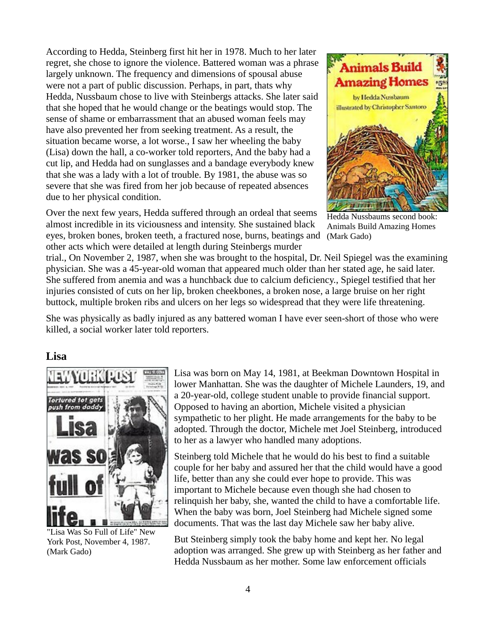According to Hedda, Steinberg first hit her in 1978. Much to her later regret, she chose to ignore the violence. Battered woman was a phrase largely unknown. The frequency and dimensions of spousal abuse were not a part of public discussion. Perhaps, in part, thats why Hedda, Nussbaum chose to live with Steinbergs attacks. She later said that she hoped that he would change or the beatings would stop. The sense of shame or embarrassment that an abused woman feels may have also prevented her from seeking treatment. As a result, the situation became worse, a lot worse., I saw her wheeling the baby (Lisa) down the hall, a co-worker told reporters, And the baby had a cut lip, and Hedda had on sunglasses and a bandage everybody knew that she was a lady with a lot of trouble. By 1981, the abuse was so severe that she was fired from her job because of repeated absences due to her physical condition.

Over the next few years, Hedda suffered through an ordeal that seems almost incredible in its viciousness and intensity. She sustained black eyes, broken bones, broken teeth, a fractured nose, burns, beatings and (Mark Gado)other acts which were detailed at length during Steinbergs murder



Hedda Nussbaums second book: Animals Build Amazing Homes

trial., On November 2, 1987, when she was brought to the hospital, Dr. Neil Spiegel was the examining physician. She was a 45-year-old woman that appeared much older than her stated age, he said later. She suffered from anemia and was a hunchback due to calcium deficiency., Spiegel testified that her injuries consisted of cuts on her lip, broken cheekbones, a broken nose, a large bruise on her right buttock, multiple broken ribs and ulcers on her legs so widespread that they were life threatening.

She was physically as badly injured as any battered woman I have ever seen-short of those who were killed, a social worker later told reporters.

#### **Lisa**



"Lisa Was So Full of Life" New York Post, November 4, 1987. (Mark Gado)

Lisa was born on May 14, 1981, at Beekman Downtown Hospital in lower Manhattan. She was the daughter of Michele Launders, 19, and a 20-year-old, college student unable to provide financial support. Opposed to having an abortion, Michele visited a physician sympathetic to her plight. He made arrangements for the baby to be adopted. Through the doctor, Michele met Joel Steinberg, introduced to her as a lawyer who handled many adoptions.

Steinberg told Michele that he would do his best to find a suitable couple for her baby and assured her that the child would have a good life, better than any she could ever hope to provide. This was important to Michele because even though she had chosen to relinquish her baby, she, wanted the child to have a comfortable life. When the baby was born, Joel Steinberg had Michele signed some documents. That was the last day Michele saw her baby alive.

But Steinberg simply took the baby home and kept her. No legal adoption was arranged. She grew up with Steinberg as her father and Hedda Nussbaum as her mother. Some law enforcement officials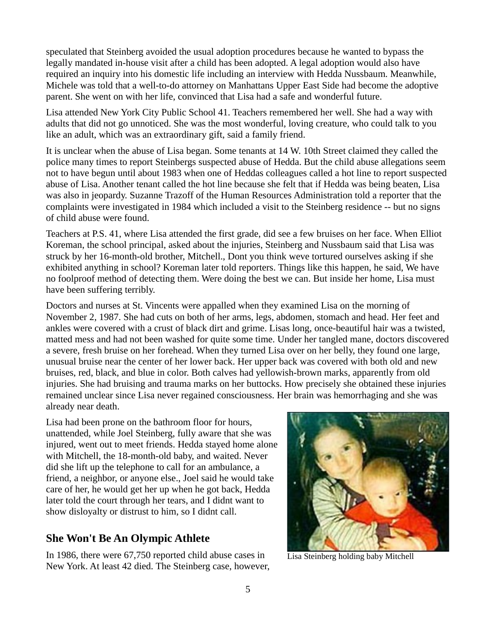speculated that Steinberg avoided the usual adoption procedures because he wanted to bypass the legally mandated in-house visit after a child has been adopted. A legal adoption would also have required an inquiry into his domestic life including an interview with Hedda Nussbaum. Meanwhile, Michele was told that a well-to-do attorney on Manhattans Upper East Side had become the adoptive parent. She went on with her life, convinced that Lisa had a safe and wonderful future.

Lisa attended New York City Public School 41. Teachers remembered her well. She had a way with adults that did not go unnoticed. She was the most wonderful, loving creature, who could talk to you like an adult, which was an extraordinary gift, said a family friend.

It is unclear when the abuse of Lisa began. Some tenants at 14 W. 10th Street claimed they called the police many times to report Steinbergs suspected abuse of Hedda. But the child abuse allegations seem not to have begun until about 1983 when one of Heddas colleagues called a hot line to report suspected abuse of Lisa. Another tenant called the hot line because she felt that if Hedda was being beaten, Lisa was also in jeopardy. Suzanne Trazoff of the Human Resources Administration told a reporter that the complaints were investigated in 1984 which included a visit to the Steinberg residence -- but no signs of child abuse were found.

Teachers at P.S. 41, where Lisa attended the first grade, did see a few bruises on her face. When Elliot Koreman, the school principal, asked about the injuries, Steinberg and Nussbaum said that Lisa was struck by her 16-month-old brother, Mitchell., Dont you think weve tortured ourselves asking if she exhibited anything in school? Koreman later told reporters. Things like this happen, he said, We have no foolproof method of detecting them. Were doing the best we can. But inside her home, Lisa must have been suffering terribly.

Doctors and nurses at St. Vincents were appalled when they examined Lisa on the morning of November 2, 1987. She had cuts on both of her arms, legs, abdomen, stomach and head. Her feet and ankles were covered with a crust of black dirt and grime. Lisas long, once-beautiful hair was a twisted, matted mess and had not been washed for quite some time. Under her tangled mane, doctors discovered a severe, fresh bruise on her forehead. When they turned Lisa over on her belly, they found one large, unusual bruise near the center of her lower back. Her upper back was covered with both old and new bruises, red, black, and blue in color. Both calves had yellowish-brown marks, apparently from old injuries. She had bruising and trauma marks on her buttocks. How precisely she obtained these injuries remained unclear since Lisa never regained consciousness. Her brain was hemorrhaging and she was already near death.

Lisa had been prone on the bathroom floor for hours, unattended, while Joel Steinberg, fully aware that she was injured, went out to meet friends. Hedda stayed home alone with Mitchell, the 18-month-old baby, and waited. Never did she lift up the telephone to call for an ambulance, a friend, a neighbor, or anyone else., Joel said he would take care of her, he would get her up when he got back, Hedda later told the court through her tears, and I didnt want to show disloyalty or distrust to him, so I didnt call.

## **She Won't Be An Olympic Athlete**

In 1986, there were 67,750 reported child abuse cases in New York. At least 42 died. The Steinberg case, however,



Lisa Steinberg holding baby Mitchell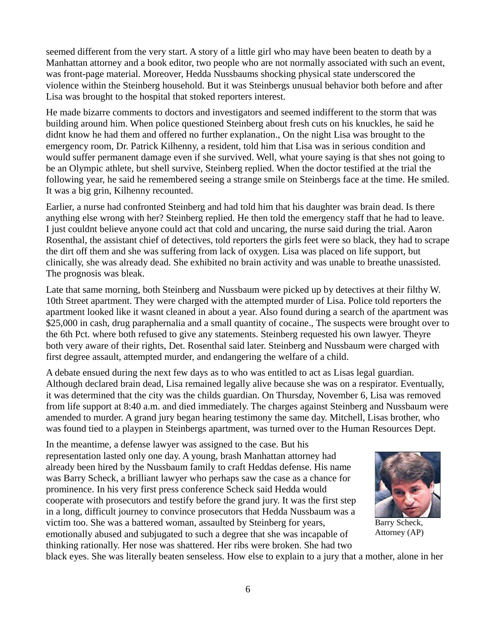seemed different from the very start. A story of a little girl who may have been beaten to death by a Manhattan attorney and a book editor, two people who are not normally associated with such an event, was front-page material. Moreover, Hedda Nussbaums shocking physical state underscored the violence within the Steinberg household. But it was Steinbergs unusual behavior both before and after Lisa was brought to the hospital that stoked reporters interest.

He made bizarre comments to doctors and investigators and seemed indifferent to the storm that was building around him. When police questioned Steinberg about fresh cuts on his knuckles, he said he didnt know he had them and offered no further explanation., On the night Lisa was brought to the emergency room, Dr. Patrick Kilhenny, a resident, told him that Lisa was in serious condition and would suffer permanent damage even if she survived. Well, what youre saying is that shes not going to be an Olympic athlete, but shell survive, Steinberg replied. When the doctor testified at the trial the following year, he said he remembered seeing a strange smile on Steinbergs face at the time. He smiled. It was a big grin, Kilhenny recounted.

Earlier, a nurse had confronted Steinberg and had told him that his daughter was brain dead. Is there anything else wrong with her? Steinberg replied. He then told the emergency staff that he had to leave. I just couldnt believe anyone could act that cold and uncaring, the nurse said during the trial. Aaron Rosenthal, the assistant chief of detectives, told reporters the girls feet were so black, they had to scrape the dirt off them and she was suffering from lack of oxygen. Lisa was placed on life support, but clinically, she was already dead. She exhibited no brain activity and was unable to breathe unassisted. The prognosis was bleak.

Late that same morning, both Steinberg and Nussbaum were picked up by detectives at their filthy W. 10th Street apartment. They were charged with the attempted murder of Lisa. Police told reporters the apartment looked like it wasnt cleaned in about a year. Also found during a search of the apartment was \$25,000 in cash, drug paraphernalia and a small quantity of cocaine., The suspects were brought over to the 6th Pct. where both refused to give any statements. Steinberg requested his own lawyer. Theyre both very aware of their rights, Det. Rosenthal said later. Steinberg and Nussbaum were charged with first degree assault, attempted murder, and endangering the welfare of a child.

A debate ensued during the next few days as to who was entitled to act as Lisas legal guardian. Although declared brain dead, Lisa remained legally alive because she was on a respirator. Eventually, it was determined that the city was the childs guardian. On Thursday, November 6, Lisa was removed from life support at 8:40 a.m. and died immediately. The charges against Steinberg and Nussbaum were amended to murder. A grand jury began hearing testimony the same day. Mitchell, Lisas brother, who was found tied to a playpen in Steinbergs apartment, was turned over to the Human Resources Dept.

In the meantime, a defense lawyer was assigned to the case. But his representation lasted only one day. A young, brash Manhattan attorney had already been hired by the Nussbaum family to craft Heddas defense. His name was Barry Scheck, a brilliant lawyer who perhaps saw the case as a chance for prominence. In his very first press conference Scheck said Hedda would cooperate with prosecutors and testify before the grand jury. It was the first step in a long, difficult journey to convince prosecutors that Hedda Nussbaum was a victim too. She was a battered woman, assaulted by Steinberg for years, emotionally abused and subjugated to such a degree that she was incapable of thinking rationally. Her nose was shattered. Her ribs were broken. She had two



Barry Scheck, Attorney (AP)

black eyes. She was literally beaten senseless. How else to explain to a jury that a mother, alone in her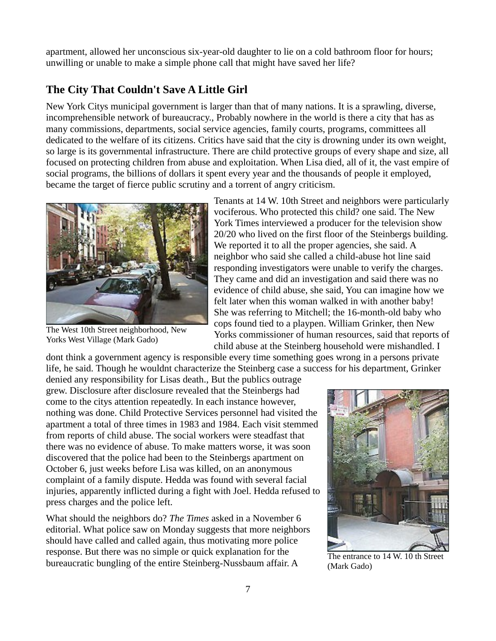apartment, allowed her unconscious six-year-old daughter to lie on a cold bathroom floor for hours; unwilling or unable to make a simple phone call that might have saved her life?

## **The City That Couldn't Save A Little Girl**

New York Citys municipal government is larger than that of many nations. It is a sprawling, diverse, incomprehensible network of bureaucracy., Probably nowhere in the world is there a city that has as many commissions, departments, social service agencies, family courts, programs, committees all dedicated to the welfare of its citizens. Critics have said that the city is drowning under its own weight, so large is its governmental infrastructure. There are child protective groups of every shape and size, all focused on protecting children from abuse and exploitation. When Lisa died, all of it, the vast empire of social programs, the billions of dollars it spent every year and the thousands of people it employed, became the target of fierce public scrutiny and a torrent of angry criticism.



The West 10th Street neighborhood, New Yorks West Village (Mark Gado)

Tenants at 14 W. 10th Street and neighbors were particularly vociferous. Who protected this child? one said. The New York Times interviewed a producer for the television show 20/20 who lived on the first floor of the Steinbergs building. We reported it to all the proper agencies, she said. A neighbor who said she called a child-abuse hot line said responding investigators were unable to verify the charges. They came and did an investigation and said there was no evidence of child abuse, she said, You can imagine how we felt later when this woman walked in with another baby! She was referring to Mitchell; the 16-month-old baby who cops found tied to a playpen. William Grinker, then New Yorks commissioner of human resources, said that reports of child abuse at the Steinberg household were mishandled. I

dont think a government agency is responsible every time something goes wrong in a persons private life, he said. Though he wouldnt characterize the Steinberg case a success for his department, Grinker

denied any responsibility for Lisas death., But the publics outrage grew. Disclosure after disclosure revealed that the Steinbergs had come to the citys attention repeatedly. In each instance however, nothing was done. Child Protective Services personnel had visited the apartment a total of three times in 1983 and 1984. Each visit stemmed from reports of child abuse. The social workers were steadfast that there was no evidence of abuse. To make matters worse, it was soon discovered that the police had been to the Steinbergs apartment on October 6, just weeks before Lisa was killed, on an anonymous complaint of a family dispute. Hedda was found with several facial injuries, apparently inflicted during a fight with Joel. Hedda refused to press charges and the police left.

What should the neighbors do? *The Times* asked in a November 6 editorial. What police saw on Monday suggests that more neighbors should have called and called again, thus motivating more police response. But there was no simple or quick explanation for the bureaucratic bungling of the entire Steinberg-Nussbaum affair. A



The entrance to 14 W. 10 th Street (Mark Gado)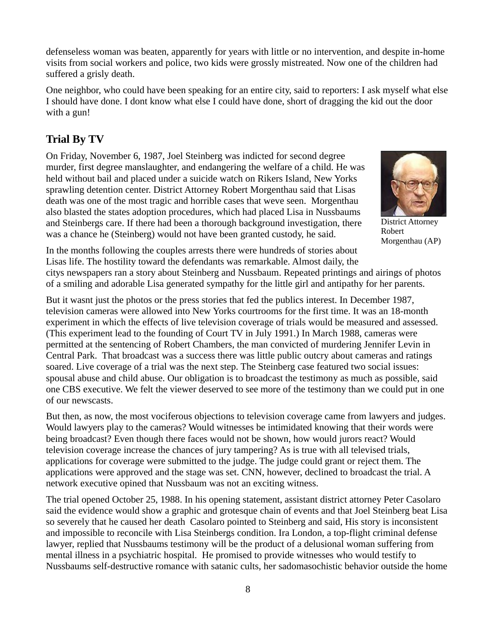8

defenseless woman was beaten, apparently for years with little or no intervention, and despite in-home visits from social workers and police, two kids were grossly mistreated. Now one of the children had suffered a grisly death.

One neighbor, who could have been speaking for an entire city, said to reporters: I ask myself what else I should have done. I dont know what else I could have done, short of dragging the kid out the door with a gun!

# **Trial By TV**

On Friday, November 6, 1987, Joel Steinberg was indicted for second degree murder, first degree manslaughter, and endangering the welfare of a child. He was held without bail and placed under a suicide watch on Rikers Island, New Yorks sprawling detention center. District Attorney Robert Morgenthau said that Lisas death was one of the most tragic and horrible cases that weve seen. Morgenthau also blasted the states adoption procedures, which had placed Lisa in Nussbaums and Steinbergs care. If there had been a thorough background investigation, there was a chance he (Steinberg) would not have been granted custody, he said.



Robert Morgenthau (AP)

In the months following the couples arrests there were hundreds of stories about Lisas life. The hostility toward the defendants was remarkable. Almost daily, the

citys newspapers ran a story about Steinberg and Nussbaum. Repeated printings and airings of photos of a smiling and adorable Lisa generated sympathy for the little girl and antipathy for her parents.

But it wasnt just the photos or the press stories that fed the publics interest. In December 1987, television cameras were allowed into New Yorks courtrooms for the first time. It was an 18-month experiment in which the effects of live television coverage of trials would be measured and assessed. (This experiment lead to the founding of Court TV in July 1991.) In March 1988, cameras were permitted at the sentencing of Robert Chambers, the man convicted of murdering Jennifer Levin in Central Park. That broadcast was a success there was little public outcry about cameras and ratings soared. Live coverage of a trial was the next step. The Steinberg case featured two social issues: spousal abuse and child abuse. Our obligation is to broadcast the testimony as much as possible, said one CBS executive. We felt the viewer deserved to see more of the testimony than we could put in one of our newscasts.

But then, as now, the most vociferous objections to television coverage came from lawyers and judges. Would lawyers play to the cameras? Would witnesses be intimidated knowing that their words were being broadcast? Even though there faces would not be shown, how would jurors react? Would television coverage increase the chances of jury tampering? As is true with all televised trials, applications for coverage were submitted to the judge. The judge could grant or reject them. The applications were approved and the stage was set. CNN, however, declined to broadcast the trial. A network executive opined that Nussbaum was not an exciting witness.

The trial opened October 25, 1988. In his opening statement, assistant district attorney Peter Casolaro said the evidence would show a graphic and grotesque chain of events and that Joel Steinberg beat Lisa so severely that he caused her death Casolaro pointed to Steinberg and said, His story is inconsistent and impossible to reconcile with Lisa Steinbergs condition. Ira London, a top-flight criminal defense lawyer, replied that Nussbaums testimony will be the product of a delusional woman suffering from mental illness in a psychiatric hospital. He promised to provide witnesses who would testify to Nussbaums self-destructive romance with satanic cults, her sadomasochistic behavior outside the home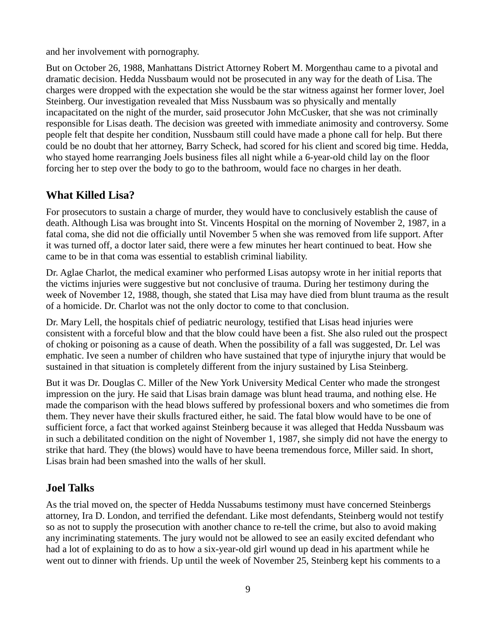and her involvement with pornography.

But on October 26, 1988, Manhattans District Attorney Robert M. Morgenthau came to a pivotal and dramatic decision. Hedda Nussbaum would not be prosecuted in any way for the death of Lisa. The charges were dropped with the expectation she would be the star witness against her former lover, Joel Steinberg. Our investigation revealed that Miss Nussbaum was so physically and mentally incapacitated on the night of the murder, said prosecutor John McCusker, that she was not criminally responsible for Lisas death. The decision was greeted with immediate animosity and controversy. Some people felt that despite her condition, Nussbaum still could have made a phone call for help. But there could be no doubt that her attorney, Barry Scheck, had scored for his client and scored big time. Hedda, who stayed home rearranging Joels business files all night while a 6-year-old child lay on the floor forcing her to step over the body to go to the bathroom, would face no charges in her death.

# **What Killed Lisa?**

For prosecutors to sustain a charge of murder, they would have to conclusively establish the cause of death. Although Lisa was brought into St. Vincents Hospital on the morning of November 2, 1987, in a fatal coma, she did not die officially until November 5 when she was removed from life support. After it was turned off, a doctor later said, there were a few minutes her heart continued to beat. How she came to be in that coma was essential to establish criminal liability.

Dr. Aglae Charlot, the medical examiner who performed Lisas autopsy wrote in her initial reports that the victims injuries were suggestive but not conclusive of trauma. During her testimony during the week of November 12, 1988, though, she stated that Lisa may have died from blunt trauma as the result of a homicide. Dr. Charlot was not the only doctor to come to that conclusion.

Dr. Mary Lell, the hospitals chief of pediatric neurology, testified that Lisas head injuries were consistent with a forceful blow and that the blow could have been a fist. She also ruled out the prospect of choking or poisoning as a cause of death. When the possibility of a fall was suggested, Dr. Lel was emphatic. Ive seen a number of children who have sustained that type of injurythe injury that would be sustained in that situation is completely different from the injury sustained by Lisa Steinberg.

But it was Dr. Douglas C. Miller of the New York University Medical Center who made the strongest impression on the jury. He said that Lisas brain damage was blunt head trauma, and nothing else. He made the comparison with the head blows suffered by professional boxers and who sometimes die from them. They never have their skulls fractured either, he said. The fatal blow would have to be one of sufficient force, a fact that worked against Steinberg because it was alleged that Hedda Nussbaum was in such a debilitated condition on the night of November 1, 1987, she simply did not have the energy to strike that hard. They (the blows) would have to have beena tremendous force, Miller said. In short, Lisas brain had been smashed into the walls of her skull.

## **Joel Talks**

As the trial moved on, the specter of Hedda Nussabums testimony must have concerned Steinbergs attorney, Ira D. London, and terrified the defendant. Like most defendants, Steinberg would not testify so as not to supply the prosecution with another chance to re-tell the crime, but also to avoid making any incriminating statements. The jury would not be allowed to see an easily excited defendant who had a lot of explaining to do as to how a six-year-old girl wound up dead in his apartment while he went out to dinner with friends. Up until the week of November 25, Steinberg kept his comments to a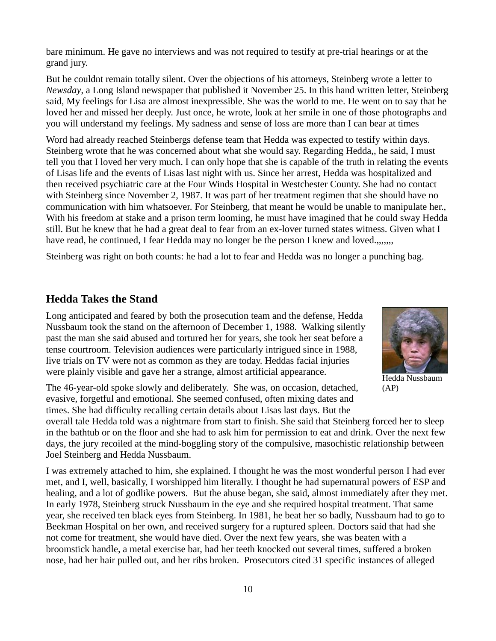bare minimum. He gave no interviews and was not required to testify at pre-trial hearings or at the grand jury.

But he couldnt remain totally silent. Over the objections of his attorneys, Steinberg wrote a letter to *Newsday*, a Long Island newspaper that published it November 25. In this hand written letter, Steinberg said, My feelings for Lisa are almost inexpressible. She was the world to me. He went on to say that he loved her and missed her deeply. Just once, he wrote, look at her smile in one of those photographs and you will understand my feelings. My sadness and sense of loss are more than I can bear at times

Word had already reached Steinbergs defense team that Hedda was expected to testify within days. Steinberg wrote that he was concerned about what she would say. Regarding Hedda,, he said, I must tell you that I loved her very much. I can only hope that she is capable of the truth in relating the events of Lisas life and the events of Lisas last night with us. Since her arrest, Hedda was hospitalized and then received psychiatric care at the Four Winds Hospital in Westchester County. She had no contact with Steinberg since November 2, 1987. It was part of her treatment regimen that she should have no communication with him whatsoever. For Steinberg, that meant he would be unable to manipulate her., With his freedom at stake and a prison term looming, he must have imagined that he could sway Hedda still. But he knew that he had a great deal to fear from an ex-lover turned states witness. Given what I have read, he continued, I fear Hedda may no longer be the person I knew and loved.,,,,,,

Steinberg was right on both counts: he had a lot to fear and Hedda was no longer a punching bag.

#### **Hedda Takes the Stand**

Long anticipated and feared by both the prosecution team and the defense, Hedda Nussbaum took the stand on the afternoon of December 1, 1988. Walking silently past the man she said abused and tortured her for years, she took her seat before a tense courtroom. Television audiences were particularly intrigued since in 1988, live trials on TV were not as common as they are today. Heddas facial injuries were plainly visible and gave her a strange, almost artificial appearance.

The 46-year-old spoke slowly and deliberately. She was, on occasion, detached, evasive, forgetful and emotional. She seemed confused, often mixing dates and times. She had difficulty recalling certain details about Lisas last days. But the



Hedda Nussbaum (AP)

overall tale Hedda told was a nightmare from start to finish. She said that Steinberg forced her to sleep in the bathtub or on the floor and she had to ask him for permission to eat and drink. Over the next few days, the jury recoiled at the mind-boggling story of the compulsive, masochistic relationship between Joel Steinberg and Hedda Nussbaum.

I was extremely attached to him, she explained. I thought he was the most wonderful person I had ever met, and I, well, basically, I worshipped him literally. I thought he had supernatural powers of ESP and healing, and a lot of godlike powers. But the abuse began, she said, almost immediately after they met. In early 1978, Steinberg struck Nussbaum in the eye and she required hospital treatment. That same year, she received ten black eyes from Steinberg. In 1981, he beat her so badly, Nussbaum had to go to Beekman Hospital on her own, and received surgery for a ruptured spleen. Doctors said that had she not come for treatment, she would have died. Over the next few years, she was beaten with a broomstick handle, a metal exercise bar, had her teeth knocked out several times, suffered a broken nose, had her hair pulled out, and her ribs broken. Prosecutors cited 31 specific instances of alleged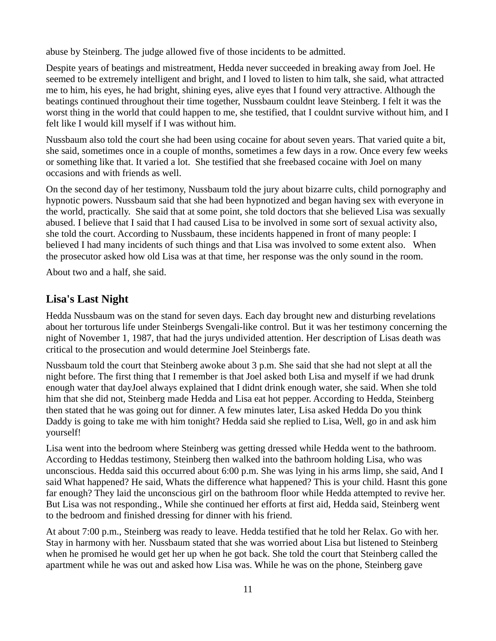abuse by Steinberg. The judge allowed five of those incidents to be admitted.

Despite years of beatings and mistreatment, Hedda never succeeded in breaking away from Joel. He seemed to be extremely intelligent and bright, and I loved to listen to him talk, she said, what attracted me to him, his eyes, he had bright, shining eyes, alive eyes that I found very attractive. Although the beatings continued throughout their time together, Nussbaum couldnt leave Steinberg. I felt it was the worst thing in the world that could happen to me, she testified, that I couldnt survive without him, and I felt like I would kill myself if I was without him.

Nussbaum also told the court she had been using cocaine for about seven years. That varied quite a bit, she said, sometimes once in a couple of months, sometimes a few days in a row. Once every few weeks or something like that. It varied a lot. She testified that she freebased cocaine with Joel on many occasions and with friends as well.

On the second day of her testimony, Nussbaum told the jury about bizarre cults, child pornography and hypnotic powers. Nussbaum said that she had been hypnotized and began having sex with everyone in the world, practically. She said that at some point, she told doctors that she believed Lisa was sexually abused. I believe that I said that I had caused Lisa to be involved in some sort of sexual activity also, she told the court. According to Nussbaum, these incidents happened in front of many people: I believed I had many incidents of such things and that Lisa was involved to some extent also. When the prosecutor asked how old Lisa was at that time, her response was the only sound in the room.

About two and a half, she said.

## **Lisa's Last Night**

Hedda Nussbaum was on the stand for seven days. Each day brought new and disturbing revelations about her torturous life under Steinbergs Svengali-like control. But it was her testimony concerning the night of November 1, 1987, that had the jurys undivided attention. Her description of Lisas death was critical to the prosecution and would determine Joel Steinbergs fate.

Nussbaum told the court that Steinberg awoke about 3 p.m. She said that she had not slept at all the night before. The first thing that I remember is that Joel asked both Lisa and myself if we had drunk enough water that dayJoel always explained that I didnt drink enough water, she said. When she told him that she did not, Steinberg made Hedda and Lisa eat hot pepper. According to Hedda, Steinberg then stated that he was going out for dinner. A few minutes later, Lisa asked Hedda Do you think Daddy is going to take me with him tonight? Hedda said she replied to Lisa, Well, go in and ask him yourself!

Lisa went into the bedroom where Steinberg was getting dressed while Hedda went to the bathroom. According to Heddas testimony, Steinberg then walked into the bathroom holding Lisa, who was unconscious. Hedda said this occurred about 6:00 p.m. She was lying in his arms limp, she said, And I said What happened? He said, Whats the difference what happened? This is your child. Hasnt this gone far enough? They laid the unconscious girl on the bathroom floor while Hedda attempted to revive her. But Lisa was not responding., While she continued her efforts at first aid, Hedda said, Steinberg went to the bedroom and finished dressing for dinner with his friend.

At about 7:00 p.m., Steinberg was ready to leave. Hedda testified that he told her Relax. Go with her. Stay in harmony with her. Nussbaum stated that she was worried about Lisa but listened to Steinberg when he promised he would get her up when he got back. She told the court that Steinberg called the apartment while he was out and asked how Lisa was. While he was on the phone, Steinberg gave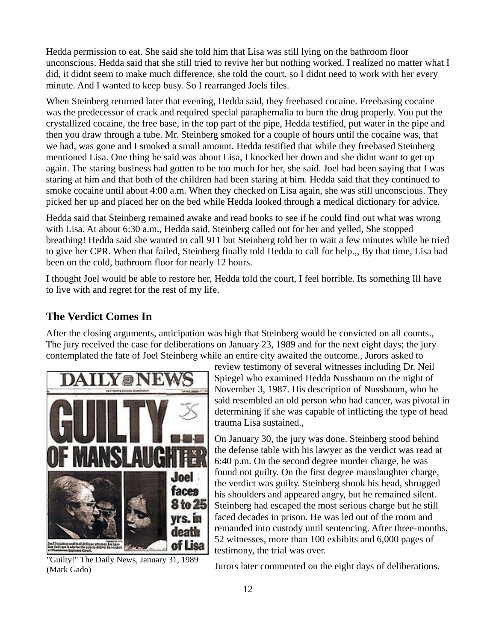Hedda permission to eat. She said she told him that Lisa was still lying on the bathroom floor unconscious. Hedda said that she still tried to revive her but nothing worked. I realized no matter what I did, it didnt seem to make much difference, she told the court, so I didnt need to work with her every minute. And I wanted to keep busy. So I rearranged Joels files.

When Steinberg returned later that evening, Hedda said, they freebased cocaine. Freebasing cocaine was the predecessor of crack and required special paraphernalia to burn the drug properly. You put the crystallized cocaine, the free base, in the top part of the pipe, Hedda testified, put water in the pipe and then you draw through a tube. Mr. Steinberg smoked for a couple of hours until the cocaine was, that we had, was gone and I smoked a small amount. Hedda testified that while they freebased Steinberg mentioned Lisa. One thing he said was about Lisa, I knocked her down and she didnt want to get up again. The staring business had gotten to be too much for her, she said. Joel had been saying that I was staring at him and that both of the children had been staring at him. Hedda said that they continued to smoke cocaine until about 4:00 a.m. When they checked on Lisa again, she was still unconscious. They picked her up and placed her on the bed while Hedda looked through a medical dictionary for advice.

Hedda said that Steinberg remained awake and read books to see if he could find out what was wrong with Lisa. At about 6:30 a.m., Hedda said, Steinberg called out for her and yelled, She stopped breathing! Hedda said she wanted to call 911 but Steinberg told her to wait a few minutes while he tried to give her CPR. When that failed, Steinberg finally told Hedda to call for help.,, By that time, Lisa had been on the cold, bathroom floor for nearly 12 hours.

I thought Joel would be able to restore her, Hedda told the court, I feel horrible. Its something Ill have to live with and regret for the rest of my life.

## **The Verdict Comes In**

After the closing arguments, anticipation was high that Steinberg would be convicted on all counts., The jury received the case for deliberations on January 23, 1989 and for the next eight days; the jury contemplated the fate of Joel Steinberg while an entire city awaited the outcome., Jurors asked to



"Guilty!" The Daily News, January 31, 1989 (Mark Gado)

review testimony of several witnesses including Dr. Neil Spiegel who examined Hedda Nussbaum on the night of November 3, 1987. His description of Nussbaum, who he said resembled an old person who had cancer, was pivotal in determining if she was capable of inflicting the type of head trauma Lisa sustained.,

On January 30, the jury was done. Steinberg stood behind the defense table with his lawyer as the verdict was read at 6:40 p.m. On the second degree murder charge, he was found not guilty. On the first degree manslaughter charge, the verdict was guilty. Steinberg shook his head, shrugged his shoulders and appeared angry, but he remained silent. Steinberg had escaped the most serious charge but he still faced decades in prison. He was led out of the room and remanded into custody until sentencing. After three-months, 52 witnesses, more than 100 exhibits and 6,000 pages of testimony, the trial was over.

Jurors later commented on the eight days of deliberations.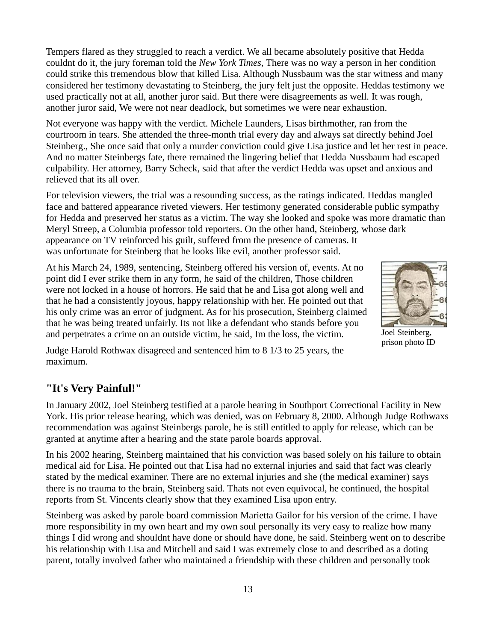Tempers flared as they struggled to reach a verdict. We all became absolutely positive that Hedda couldnt do it, the jury foreman told the *New York Times*, There was no way a person in her condition could strike this tremendous blow that killed Lisa. Although Nussbaum was the star witness and many considered her testimony devastating to Steinberg, the jury felt just the opposite. Heddas testimony we used practically not at all, another juror said. But there were disagreements as well. It was rough, another juror said, We were not near deadlock, but sometimes we were near exhaustion.

Not everyone was happy with the verdict. Michele Launders, Lisas birthmother, ran from the courtroom in tears. She attended the three-month trial every day and always sat directly behind Joel Steinberg., She once said that only a murder conviction could give Lisa justice and let her rest in peace. And no matter Steinbergs fate, there remained the lingering belief that Hedda Nussbaum had escaped culpability. Her attorney, Barry Scheck, said that after the verdict Hedda was upset and anxious and relieved that its all over.

For television viewers, the trial was a resounding success, as the ratings indicated. Heddas mangled face and battered appearance riveted viewers. Her testimony generated considerable public sympathy for Hedda and preserved her status as a victim. The way she looked and spoke was more dramatic than Meryl Streep, a Columbia professor told reporters. On the other hand, Steinberg, whose dark appearance on TV reinforced his guilt, suffered from the presence of cameras. It was unfortunate for Steinberg that he looks like evil, another professor said.

At his March 24, 1989, sentencing, Steinberg offered his version of, events. At no point did I ever strike them in any form, he said of the children, Those children were not locked in a house of horrors. He said that he and Lisa got along well and that he had a consistently joyous, happy relationship with her. He pointed out that his only crime was an error of judgment. As for his prosecution, Steinberg claimed that he was being treated unfairly. Its not like a defendant who stands before you and perpetrates a crime on an outside victim, he said, Im the loss, the victim.



Joel Steinberg, prison photo ID

Judge Harold Rothwax disagreed and sentenced him to 8 1/3 to 25 years, the maximum.

## **"It's Very Painful!"**

In January 2002, Joel Steinberg testified at a parole hearing in Southport Correctional Facility in New York. His prior release hearing, which was denied, was on February 8, 2000. Although Judge Rothwaxs recommendation was against Steinbergs parole, he is still entitled to apply for release, which can be granted at anytime after a hearing and the state parole boards approval.

In his 2002 hearing, Steinberg maintained that his conviction was based solely on his failure to obtain medical aid for Lisa. He pointed out that Lisa had no external injuries and said that fact was clearly stated by the medical examiner. There are no external injuries and she (the medical examiner) says there is no trauma to the brain, Steinberg said. Thats not even equivocal, he continued, the hospital reports from St. Vincents clearly show that they examined Lisa upon entry.

Steinberg was asked by parole board commission Marietta Gailor for his version of the crime. I have more responsibility in my own heart and my own soul personally its very easy to realize how many things I did wrong and shouldnt have done or should have done, he said. Steinberg went on to describe his relationship with Lisa and Mitchell and said I was extremely close to and described as a doting parent, totally involved father who maintained a friendship with these children and personally took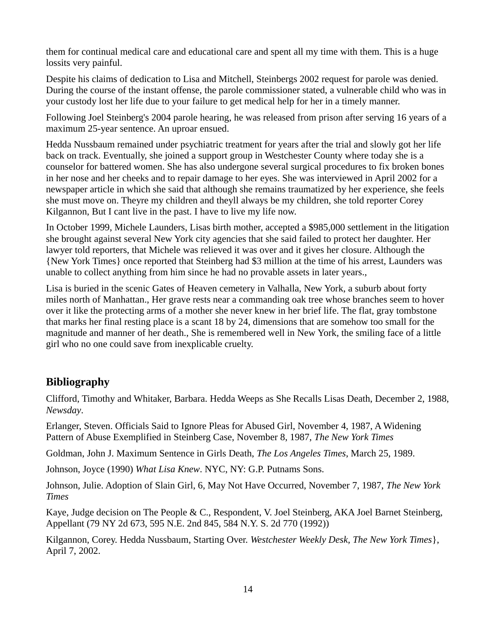them for continual medical care and educational care and spent all my time with them. This is a huge lossits very painful.

Despite his claims of dedication to Lisa and Mitchell, Steinbergs 2002 request for parole was denied. During the course of the instant offense, the parole commissioner stated, a vulnerable child who was in your custody lost her life due to your failure to get medical help for her in a timely manner.

Following Joel Steinberg's 2004 parole hearing, he was released from prison after serving 16 years of a maximum 25-year sentence. An uproar ensued.

Hedda Nussbaum remained under psychiatric treatment for years after the trial and slowly got her life back on track. Eventually, she joined a support group in Westchester County where today she is a counselor for battered women. She has also undergone several surgical procedures to fix broken bones in her nose and her cheeks and to repair damage to her eyes. She was interviewed in April 2002 for a newspaper article in which she said that although she remains traumatized by her experience, she feels she must move on. Theyre my children and theyll always be my children, she told reporter Corey Kilgannon, But I cant live in the past. I have to live my life now.

In October 1999, Michele Launders, Lisas birth mother, accepted a \$985,000 settlement in the litigation she brought against several New York city agencies that she said failed to protect her daughter. Her lawyer told reporters, that Michele was relieved it was over and it gives her closure. Although the {New York Times} once reported that Steinberg had \$3 million at the time of his arrest, Launders was unable to collect anything from him since he had no provable assets in later years.,

Lisa is buried in the scenic Gates of Heaven cemetery in Valhalla, New York, a suburb about forty miles north of Manhattan., Her grave rests near a commanding oak tree whose branches seem to hover over it like the protecting arms of a mother she never knew in her brief life. The flat, gray tombstone that marks her final resting place is a scant 18 by 24, dimensions that are somehow too small for the magnitude and manner of her death., She is remembered well in New York, the smiling face of a little girl who no one could save from inexplicable cruelty.

# **Bibliography**

Clifford, Timothy and Whitaker, Barbara. Hedda Weeps as She Recalls Lisas Death, December 2, 1988, *Newsday*.

Erlanger, Steven. Officials Said to Ignore Pleas for Abused Girl, November 4, 1987, A Widening Pattern of Abuse Exemplified in Steinberg Case, November 8, 1987, *The New York Times*

Goldman, John J. Maximum Sentence in Girls Death, *The Los Angeles Times*, March 25, 1989.

Johnson, Joyce (1990) *What Lisa Knew*. NYC, NY: G.P. Putnams Sons.

Johnson, Julie. Adoption of Slain Girl, 6, May Not Have Occurred, November 7, 1987, *The New York Times*

Kaye, Judge decision on The People & C., Respondent, V. Joel Steinberg, AKA Joel Barnet Steinberg, Appellant (79 NY 2d 673, 595 N.E. 2nd 845, 584 N.Y. S. 2d 770 (1992))

Kilgannon, Corey. Hedda Nussbaum, Starting Over. *Westchester Weekly Desk, The New York Times*}, April 7, 2002.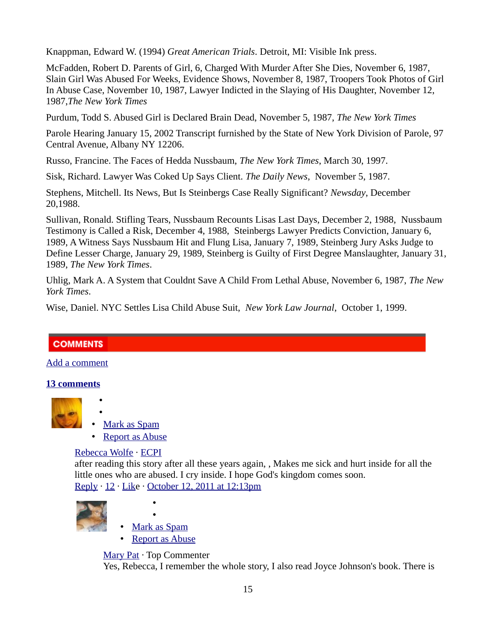Knappman, Edward W. (1994) *Great American Trials*. Detroit, MI: Visible Ink press.

McFadden, Robert D. Parents of Girl, 6, Charged With Murder After She Dies, November 6, 1987, Slain Girl Was Abused For Weeks, Evidence Shows, November 8, 1987, Troopers Took Photos of Girl In Abuse Case, November 10, 1987, Lawyer Indicted in the Slaying of His Daughter, November 12, 1987,*The New York Times*

Purdum, Todd S. Abused Girl is Declared Brain Dead, November 5, 1987, *The New York Times*

Parole Hearing January 15, 2002 Transcript furnished by the State of New York Division of Parole, 97 Central Avenue, Albany NY 12206.

Russo, Francine. The Faces of Hedda Nussbaum, *The New York Times*, March 30, 1997.

Sisk, Richard. Lawyer Was Coked Up Says Client. *The Daily News*, November 5, 1987.

Stephens, Mitchell. Its News, But Is Steinbergs Case Really Significant? *Newsday*, December 20,1988.

Sullivan, Ronald. Stifling Tears, Nussbaum Recounts Lisas Last Days, December 2, 1988, Nussbaum Testimony is Called a Risk, December 4, 1988, Steinbergs Lawyer Predicts Conviction, January 6, 1989, A Witness Says Nussbaum Hit and Flung Lisa, January 7, 1989, Steinberg Jury Asks Judge to Define Lesser Charge, January 29, 1989, Steinberg is Guilty of First Degree Manslaughter, January 31, 1989, *The New York Times*.

Uhlig, Mark A. A System that Couldnt Save A Child From Lethal Abuse, November 6, 1987, *The New York Times*.

Wise, Daniel. NYC Settles Lisa Child Abuse Suit, *New York Law Journal*, October 1, 1999.

## **COMMENTS**

[Add a comment](https://www.facebook.com/plugins/comments.php?api_key=183406261716842&channel_url=http%3A%2F%2Fstatic.ak.facebook.com%2Fconnect%2Fxd_arbiter.php%3Fversion%3D9%23cb%3Df341edfe7ea90fa%26origin%3Dhttp%253A%252F%252Fwww.trutv.com%252Ff279020a468b0bc%26domain%3Dwww.trutv.com%26relation%3Dparent.parent&href=http%3A%2F%2Fwww.trutv.com%2Flibrary%2Fcrime%2Fnotorious_murders%2Ffamily%2Flisa_steinberg%2F1.html&locale=en_US&numposts=10&sdk=joey&width=620#)

#### **[13 comments](https://www.facebook.com/plugins/comments.php?api_key=183406261716842&channel_url=http%3A%2F%2Fstatic.ak.facebook.com%2Fconnect%2Fxd_arbiter.php%3Fversion%3D9%23cb%3Df341edfe7ea90fa%26origin%3Dhttp%253A%252F%252Fwww.trutv.com%252Ff279020a468b0bc%26domain%3Dwww.trutv.com%26relation%3Dparent.parent&href=http%3A%2F%2Fwww.trutv.com%2Flibrary%2Fcrime%2Fnotorious_murders%2Ffamily%2Flisa_steinberg%2F1.html&locale=en_US&numposts=10&sdk=joey&width=620#)**



- • [Mark as Spam](https://www.facebook.com/plugins/comments.php?api_key=183406261716842&channel_url=http%3A%2F%2Fstatic.ak.facebook.com%2Fconnect%2Fxd_arbiter.php%3Fversion%3D9%23cb%3Df341edfe7ea90fa%26origin%3Dhttp%253A%252F%252Fwww.trutv.com%252Ff279020a468b0bc%26domain%3Dwww.trutv.com%26relation%3Dparent.parent&href=http%3A%2F%2Fwww.trutv.com%2Flibrary%2Fcrime%2Fnotorious_murders%2Ffamily%2Flisa_steinberg%2F1.html&locale=en_US&numposts=10&sdk=joey&width=620#)
- • [Report as Abuse](https://www.facebook.com/plugins/comments.php?api_key=183406261716842&channel_url=http%3A%2F%2Fstatic.ak.facebook.com%2Fconnect%2Fxd_arbiter.php%3Fversion%3D9%23cb%3Df341edfe7ea90fa%26origin%3Dhttp%253A%252F%252Fwww.trutv.com%252Ff279020a468b0bc%26domain%3Dwww.trutv.com%26relation%3Dparent.parent&href=http%3A%2F%2Fwww.trutv.com%2Flibrary%2Fcrime%2Fnotorious_murders%2Ffamily%2Flisa_steinberg%2F1.html&locale=en_US&numposts=10&sdk=joey&width=620#)

#### [Rebecca Wolfe](https://www.facebook.com/plugins/comments.php?api_key=183406261716842&channel_url=http%3A%2F%2Fstatic.ak.facebook.com%2Fconnect%2Fxd_arbiter.php%3Fversion%3D9%23cb%3Df341edfe7ea90fa%26origin%3Dhttp%253A%252F%252Fwww.trutv.com%252Ff279020a468b0bc%26domain%3Dwww.trutv.com%26relation%3Dparent.parent&href=http%3A%2F%2Fwww.trutv.com%2Flibrary%2Fcrime%2Fnotorious_murders%2Ffamily%2Flisa_steinberg%2F1.html&locale=en_US&numposts=10&sdk=joey&width=620#) · [ECPI](http://www.facebook.com/pages/ECPI/114848288532485)

• •

after reading this story after all these years again, , Makes me sick and hurt inside for all the little ones who are abused. I cry inside. I hope God's kingdom comes soon. [Reply](https://www.facebook.com/plugins/comments.php?api_key=183406261716842&channel_url=http%3A%2F%2Fstatic.ak.facebook.com%2Fconnect%2Fxd_arbiter.php%3Fversion%3D9%23cb%3Df341edfe7ea90fa%26origin%3Dhttp%253A%252F%252Fwww.trutv.com%252Ff279020a468b0bc%26domain%3Dwww.trutv.com%26relation%3Dparent.parent&href=http%3A%2F%2Fwww.trutv.com%2Flibrary%2Fcrime%2Fnotorious_murders%2Ffamily%2Flisa_steinberg%2F1.html&locale=en_US&numposts=10&sdk=joey&width=620#) · [12](https://www.facebook.com/plugins/comments.php?api_key=183406261716842&channel_url=http%3A%2F%2Fstatic.ak.facebook.com%2Fconnect%2Fxd_arbiter.php%3Fversion%3D9%23cb%3Df341edfe7ea90fa%26origin%3Dhttp%253A%252F%252Fwww.trutv.com%252Ff279020a468b0bc%26domain%3Dwww.trutv.com%26relation%3Dparent.parent&href=http%3A%2F%2Fwww.trutv.com%2Flibrary%2Fcrime%2Fnotorious_murders%2Ffamily%2Flisa_steinberg%2F1.html&locale=en_US&numposts=10&sdk=joey&width=620#) · [Like](https://www.facebook.com/plugins/comments.php?api_key=183406261716842&channel_url=http%3A%2F%2Fstatic.ak.facebook.com%2Fconnect%2Fxd_arbiter.php%3Fversion%3D9%23cb%3Df341edfe7ea90fa%26origin%3Dhttp%253A%252F%252Fwww.trutv.com%252Ff279020a468b0bc%26domain%3Dwww.trutv.com%26relation%3Dparent.parent&href=http%3A%2F%2Fwww.trutv.com%2Flibrary%2Fcrime%2Fnotorious_murders%2Ffamily%2Flisa_steinberg%2F1.html&locale=en_US&numposts=10&sdk=joey&width=620#) · [October 12, 2011 at 12:13pm](http://www.trutv.com/library/crime/notorious_murders/family/lisa_steinberg/1.html?fb_comment_id=fbc_417670969378_19339613_10150355760039379)





• [Mark as Spam](https://www.facebook.com/plugins/comments.php?api_key=183406261716842&channel_url=http%3A%2F%2Fstatic.ak.facebook.com%2Fconnect%2Fxd_arbiter.php%3Fversion%3D9%23cb%3Df341edfe7ea90fa%26origin%3Dhttp%253A%252F%252Fwww.trutv.com%252Ff279020a468b0bc%26domain%3Dwww.trutv.com%26relation%3Dparent.parent&href=http%3A%2F%2Fwww.trutv.com%2Flibrary%2Fcrime%2Fnotorious_murders%2Ffamily%2Flisa_steinberg%2F1.html&locale=en_US&numposts=10&sdk=joey&width=620#)

•

• [Report as Abuse](https://www.facebook.com/plugins/comments.php?api_key=183406261716842&channel_url=http%3A%2F%2Fstatic.ak.facebook.com%2Fconnect%2Fxd_arbiter.php%3Fversion%3D9%23cb%3Df341edfe7ea90fa%26origin%3Dhttp%253A%252F%252Fwww.trutv.com%252Ff279020a468b0bc%26domain%3Dwww.trutv.com%26relation%3Dparent.parent&href=http%3A%2F%2Fwww.trutv.com%2Flibrary%2Fcrime%2Fnotorious_murders%2Ffamily%2Flisa_steinberg%2F1.html&locale=en_US&numposts=10&sdk=joey&width=620#)

[Mary Pat](http://www.facebook.com/mary.pat.98) · Top Commenter

Yes, Rebecca, I remember the whole story, I also read Joyce Johnson's book. There is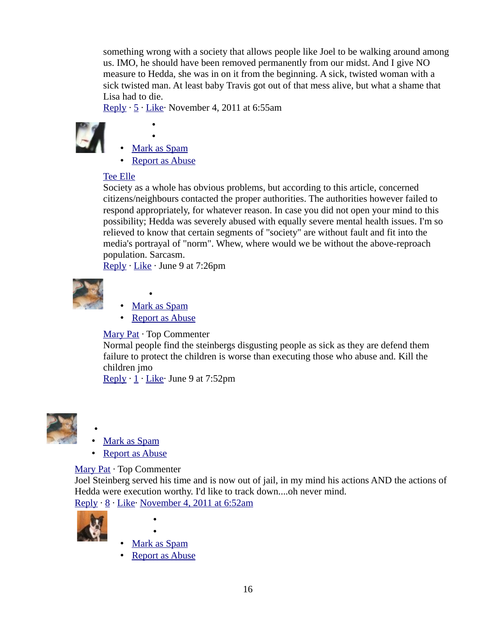something wrong with a society that allows people like Joel to be walking around among us. IMO, he should have been removed permanently from our midst. And I give NO measure to Hedda, she was in on it from the beginning. A sick, twisted woman with a sick twisted man. At least baby Travis got out of that mess alive, but what a shame that Lisa had to die.

[Reply](https://www.facebook.com/plugins/comments.php?api_key=183406261716842&channel_url=http%3A%2F%2Fstatic.ak.facebook.com%2Fconnect%2Fxd_arbiter.php%3Fversion%3D9%23cb%3Df341edfe7ea90fa%26origin%3Dhttp%253A%252F%252Fwww.trutv.com%252Ff279020a468b0bc%26domain%3Dwww.trutv.com%26relation%3Dparent.parent&href=http%3A%2F%2Fwww.trutv.com%2Flibrary%2Fcrime%2Fnotorious_murders%2Ffamily%2Flisa_steinberg%2F1.html&locale=en_US&numposts=10&sdk=joey&width=620#) · [5](https://www.facebook.com/plugins/comments.php?api_key=183406261716842&channel_url=http%3A%2F%2Fstatic.ak.facebook.com%2Fconnect%2Fxd_arbiter.php%3Fversion%3D9%23cb%3Df341edfe7ea90fa%26origin%3Dhttp%253A%252F%252Fwww.trutv.com%252Ff279020a468b0bc%26domain%3Dwww.trutv.com%26relation%3Dparent.parent&href=http%3A%2F%2Fwww.trutv.com%2Flibrary%2Fcrime%2Fnotorious_murders%2Ffamily%2Flisa_steinberg%2F1.html&locale=en_US&numposts=10&sdk=joey&width=620#) · [Like·](https://www.facebook.com/plugins/comments.php?api_key=183406261716842&channel_url=http%3A%2F%2Fstatic.ak.facebook.com%2Fconnect%2Fxd_arbiter.php%3Fversion%3D9%23cb%3Df341edfe7ea90fa%26origin%3Dhttp%253A%252F%252Fwww.trutv.com%252Ff279020a468b0bc%26domain%3Dwww.trutv.com%26relation%3Dparent.parent&href=http%3A%2F%2Fwww.trutv.com%2Flibrary%2Fcrime%2Fnotorious_murders%2Ffamily%2Flisa_steinberg%2F1.html&locale=en_US&numposts=10&sdk=joey&width=620#) November 4, 2011 at 6:55am



- •
- • [Mark as Spam](https://www.facebook.com/plugins/comments.php?api_key=183406261716842&channel_url=http%3A%2F%2Fstatic.ak.facebook.com%2Fconnect%2Fxd_arbiter.php%3Fversion%3D9%23cb%3Df341edfe7ea90fa%26origin%3Dhttp%253A%252F%252Fwww.trutv.com%252Ff279020a468b0bc%26domain%3Dwww.trutv.com%26relation%3Dparent.parent&href=http%3A%2F%2Fwww.trutv.com%2Flibrary%2Fcrime%2Fnotorious_murders%2Ffamily%2Flisa_steinberg%2F1.html&locale=en_US&numposts=10&sdk=joey&width=620#)

•

• [Report as Abuse](https://www.facebook.com/plugins/comments.php?api_key=183406261716842&channel_url=http%3A%2F%2Fstatic.ak.facebook.com%2Fconnect%2Fxd_arbiter.php%3Fversion%3D9%23cb%3Df341edfe7ea90fa%26origin%3Dhttp%253A%252F%252Fwww.trutv.com%252Ff279020a468b0bc%26domain%3Dwww.trutv.com%26relation%3Dparent.parent&href=http%3A%2F%2Fwww.trutv.com%2Flibrary%2Fcrime%2Fnotorious_murders%2Ffamily%2Flisa_steinberg%2F1.html&locale=en_US&numposts=10&sdk=joey&width=620#)

#### [Tee Elle](https://www.facebook.com/plugins/comments.php?api_key=183406261716842&channel_url=http%3A%2F%2Fstatic.ak.facebook.com%2Fconnect%2Fxd_arbiter.php%3Fversion%3D9%23cb%3Df341edfe7ea90fa%26origin%3Dhttp%253A%252F%252Fwww.trutv.com%252Ff279020a468b0bc%26domain%3Dwww.trutv.com%26relation%3Dparent.parent&href=http%3A%2F%2Fwww.trutv.com%2Flibrary%2Fcrime%2Fnotorious_murders%2Ffamily%2Flisa_steinberg%2F1.html&locale=en_US&numposts=10&sdk=joey&width=620#)

Society as a whole has obvious problems, but according to this article, concerned citizens/neighbours contacted the proper authorities. The authorities however failed to respond appropriately, for whatever reason. In case you did not open your mind to this possibility; Hedda was severely abused with equally severe mental health issues. I'm so relieved to know that certain segments of "society" are without fault and fit into the media's portrayal of "norm". Whew, where would we be without the above-reproach population. Sarcasm.

[Reply](https://www.facebook.com/plugins/comments.php?api_key=183406261716842&channel_url=http%3A%2F%2Fstatic.ak.facebook.com%2Fconnect%2Fxd_arbiter.php%3Fversion%3D9%23cb%3Df341edfe7ea90fa%26origin%3Dhttp%253A%252F%252Fwww.trutv.com%252Ff279020a468b0bc%26domain%3Dwww.trutv.com%26relation%3Dparent.parent&href=http%3A%2F%2Fwww.trutv.com%2Flibrary%2Fcrime%2Fnotorious_murders%2Ffamily%2Flisa_steinberg%2F1.html&locale=en_US&numposts=10&sdk=joey&width=620#) · [Like](https://www.facebook.com/plugins/comments.php?api_key=183406261716842&channel_url=http%3A%2F%2Fstatic.ak.facebook.com%2Fconnect%2Fxd_arbiter.php%3Fversion%3D9%23cb%3Df341edfe7ea90fa%26origin%3Dhttp%253A%252F%252Fwww.trutv.com%252Ff279020a468b0bc%26domain%3Dwww.trutv.com%26relation%3Dparent.parent&href=http%3A%2F%2Fwww.trutv.com%2Flibrary%2Fcrime%2Fnotorious_murders%2Ffamily%2Flisa_steinberg%2F1.html&locale=en_US&numposts=10&sdk=joey&width=620#) · June 9 at 7:26pm



- • [Mark as Spam](https://www.facebook.com/plugins/comments.php?api_key=183406261716842&channel_url=http%3A%2F%2Fstatic.ak.facebook.com%2Fconnect%2Fxd_arbiter.php%3Fversion%3D9%23cb%3Df341edfe7ea90fa%26origin%3Dhttp%253A%252F%252Fwww.trutv.com%252Ff279020a468b0bc%26domain%3Dwww.trutv.com%26relation%3Dparent.parent&href=http%3A%2F%2Fwww.trutv.com%2Flibrary%2Fcrime%2Fnotorious_murders%2Ffamily%2Flisa_steinberg%2F1.html&locale=en_US&numposts=10&sdk=joey&width=620#)
- • [Report as Abuse](https://www.facebook.com/plugins/comments.php?api_key=183406261716842&channel_url=http%3A%2F%2Fstatic.ak.facebook.com%2Fconnect%2Fxd_arbiter.php%3Fversion%3D9%23cb%3Df341edfe7ea90fa%26origin%3Dhttp%253A%252F%252Fwww.trutv.com%252Ff279020a468b0bc%26domain%3Dwww.trutv.com%26relation%3Dparent.parent&href=http%3A%2F%2Fwww.trutv.com%2Flibrary%2Fcrime%2Fnotorious_murders%2Ffamily%2Flisa_steinberg%2F1.html&locale=en_US&numposts=10&sdk=joey&width=620#)

#### [Mary Pat](http://www.facebook.com/mary.pat.98) · Top Commenter

Normal people find the steinbergs disgusting people as sick as they are defend them failure to protect the children is worse than executing those who abuse and. Kill the children jmo

[Reply](https://www.facebook.com/plugins/comments.php?api_key=183406261716842&channel_url=http%3A%2F%2Fstatic.ak.facebook.com%2Fconnect%2Fxd_arbiter.php%3Fversion%3D9%23cb%3Df341edfe7ea90fa%26origin%3Dhttp%253A%252F%252Fwww.trutv.com%252Ff279020a468b0bc%26domain%3Dwww.trutv.com%26relation%3Dparent.parent&href=http%3A%2F%2Fwww.trutv.com%2Flibrary%2Fcrime%2Fnotorious_murders%2Ffamily%2Flisa_steinberg%2F1.html&locale=en_US&numposts=10&sdk=joey&width=620#)  $\cdot$  [1](https://www.facebook.com/plugins/comments.php?api_key=183406261716842&channel_url=http%3A%2F%2Fstatic.ak.facebook.com%2Fconnect%2Fxd_arbiter.php%3Fversion%3D9%23cb%3Df341edfe7ea90fa%26origin%3Dhttp%253A%252F%252Fwww.trutv.com%252Ff279020a468b0bc%26domain%3Dwww.trutv.com%26relation%3Dparent.parent&href=http%3A%2F%2Fwww.trutv.com%2Flibrary%2Fcrime%2Fnotorious_murders%2Ffamily%2Flisa_steinberg%2F1.html&locale=en_US&numposts=10&sdk=joey&width=620#)  $\cdot$  Like $\cdot$  June 9 at 7:52pm



- • [Mark as Spam](https://www.facebook.com/plugins/comments.php?api_key=183406261716842&channel_url=http%3A%2F%2Fstatic.ak.facebook.com%2Fconnect%2Fxd_arbiter.php%3Fversion%3D9%23cb%3Df341edfe7ea90fa%26origin%3Dhttp%253A%252F%252Fwww.trutv.com%252Ff279020a468b0bc%26domain%3Dwww.trutv.com%26relation%3Dparent.parent&href=http%3A%2F%2Fwww.trutv.com%2Flibrary%2Fcrime%2Fnotorious_murders%2Ffamily%2Flisa_steinberg%2F1.html&locale=en_US&numposts=10&sdk=joey&width=620#)
- • [Report as Abuse](https://www.facebook.com/plugins/comments.php?api_key=183406261716842&channel_url=http%3A%2F%2Fstatic.ak.facebook.com%2Fconnect%2Fxd_arbiter.php%3Fversion%3D9%23cb%3Df341edfe7ea90fa%26origin%3Dhttp%253A%252F%252Fwww.trutv.com%252Ff279020a468b0bc%26domain%3Dwww.trutv.com%26relation%3Dparent.parent&href=http%3A%2F%2Fwww.trutv.com%2Flibrary%2Fcrime%2Fnotorious_murders%2Ffamily%2Flisa_steinberg%2F1.html&locale=en_US&numposts=10&sdk=joey&width=620#)

## [Mary Pat](http://www.facebook.com/mary.pat.98) · Top Commenter

Joel Steinberg served his time and is now out of jail, in my mind his actions AND the actions of Hedda were execution worthy. I'd like to track down....oh never mind. [Reply](https://www.facebook.com/plugins/comments.php?api_key=183406261716842&channel_url=http%3A%2F%2Fstatic.ak.facebook.com%2Fconnect%2Fxd_arbiter.php%3Fversion%3D9%23cb%3Df341edfe7ea90fa%26origin%3Dhttp%253A%252F%252Fwww.trutv.com%252Ff279020a468b0bc%26domain%3Dwww.trutv.com%26relation%3Dparent.parent&href=http%3A%2F%2Fwww.trutv.com%2Flibrary%2Fcrime%2Fnotorious_murders%2Ffamily%2Flisa_steinberg%2F1.html&locale=en_US&numposts=10&sdk=joey&width=620#) · [8](https://www.facebook.com/plugins/comments.php?api_key=183406261716842&channel_url=http%3A%2F%2Fstatic.ak.facebook.com%2Fconnect%2Fxd_arbiter.php%3Fversion%3D9%23cb%3Df341edfe7ea90fa%26origin%3Dhttp%253A%252F%252Fwww.trutv.com%252Ff279020a468b0bc%26domain%3Dwww.trutv.com%26relation%3Dparent.parent&href=http%3A%2F%2Fwww.trutv.com%2Flibrary%2Fcrime%2Fnotorious_murders%2Ffamily%2Flisa_steinberg%2F1.html&locale=en_US&numposts=10&sdk=joey&width=620#) · [Like·](https://www.facebook.com/plugins/comments.php?api_key=183406261716842&channel_url=http%3A%2F%2Fstatic.ak.facebook.com%2Fconnect%2Fxd_arbiter.php%3Fversion%3D9%23cb%3Df341edfe7ea90fa%26origin%3Dhttp%253A%252F%252Fwww.trutv.com%252Ff279020a468b0bc%26domain%3Dwww.trutv.com%26relation%3Dparent.parent&href=http%3A%2F%2Fwww.trutv.com%2Flibrary%2Fcrime%2Fnotorious_murders%2Ffamily%2Flisa_steinberg%2F1.html&locale=en_US&numposts=10&sdk=joey&width=620#) [November 4, 2011 at 6:52am](http://www.trutv.com/library/crime/notorious_murders/family/lisa_steinberg/1.html?fb_comment_id=fbc_417670969378_19715700_10150385147024379)



•

- 
- • [Mark as Spam](https://www.facebook.com/plugins/comments.php?api_key=183406261716842&channel_url=http%3A%2F%2Fstatic.ak.facebook.com%2Fconnect%2Fxd_arbiter.php%3Fversion%3D9%23cb%3Df341edfe7ea90fa%26origin%3Dhttp%253A%252F%252Fwww.trutv.com%252Ff279020a468b0bc%26domain%3Dwww.trutv.com%26relation%3Dparent.parent&href=http%3A%2F%2Fwww.trutv.com%2Flibrary%2Fcrime%2Fnotorious_murders%2Ffamily%2Flisa_steinberg%2F1.html&locale=en_US&numposts=10&sdk=joey&width=620#)

•

• [Report as Abuse](https://www.facebook.com/plugins/comments.php?api_key=183406261716842&channel_url=http%3A%2F%2Fstatic.ak.facebook.com%2Fconnect%2Fxd_arbiter.php%3Fversion%3D9%23cb%3Df341edfe7ea90fa%26origin%3Dhttp%253A%252F%252Fwww.trutv.com%252Ff279020a468b0bc%26domain%3Dwww.trutv.com%26relation%3Dparent.parent&href=http%3A%2F%2Fwww.trutv.com%2Flibrary%2Fcrime%2Fnotorious_murders%2Ffamily%2Flisa_steinberg%2F1.html&locale=en_US&numposts=10&sdk=joey&width=620#)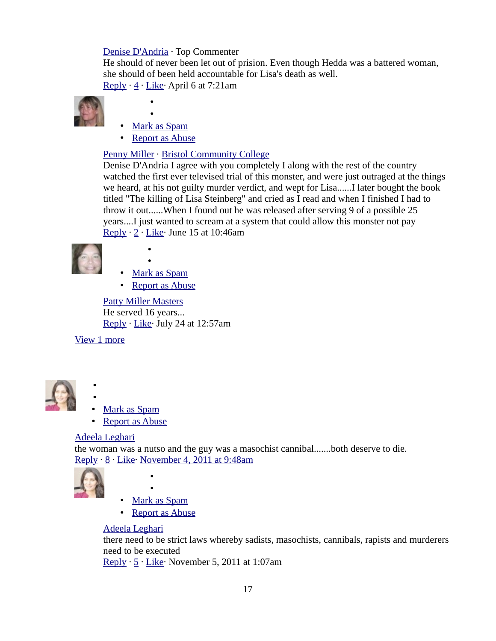#### [Denise D'Andria](https://www.facebook.com/plugins/comments.php?api_key=183406261716842&channel_url=http%3A%2F%2Fstatic.ak.facebook.com%2Fconnect%2Fxd_arbiter.php%3Fversion%3D9%23cb%3Df341edfe7ea90fa%26origin%3Dhttp%253A%252F%252Fwww.trutv.com%252Ff279020a468b0bc%26domain%3Dwww.trutv.com%26relation%3Dparent.parent&href=http%3A%2F%2Fwww.trutv.com%2Flibrary%2Fcrime%2Fnotorious_murders%2Ffamily%2Flisa_steinberg%2F1.html&locale=en_US&numposts=10&sdk=joey&width=620#) · Top Commenter

He should of never been let out of prision. Even though Hedda was a battered woman, she should of been held accountable for Lisa's death as well.

[Reply](https://www.facebook.com/plugins/comments.php?api_key=183406261716842&channel_url=http%3A%2F%2Fstatic.ak.facebook.com%2Fconnect%2Fxd_arbiter.php%3Fversion%3D9%23cb%3Df341edfe7ea90fa%26origin%3Dhttp%253A%252F%252Fwww.trutv.com%252Ff279020a468b0bc%26domain%3Dwww.trutv.com%26relation%3Dparent.parent&href=http%3A%2F%2Fwww.trutv.com%2Flibrary%2Fcrime%2Fnotorious_murders%2Ffamily%2Flisa_steinberg%2F1.html&locale=en_US&numposts=10&sdk=joey&width=620#)  $\cdot$  [4](https://www.facebook.com/plugins/comments.php?api_key=183406261716842&channel_url=http%3A%2F%2Fstatic.ak.facebook.com%2Fconnect%2Fxd_arbiter.php%3Fversion%3D9%23cb%3Df341edfe7ea90fa%26origin%3Dhttp%253A%252F%252Fwww.trutv.com%252Ff279020a468b0bc%26domain%3Dwww.trutv.com%26relation%3Dparent.parent&href=http%3A%2F%2Fwww.trutv.com%2Flibrary%2Fcrime%2Fnotorious_murders%2Ffamily%2Flisa_steinberg%2F1.html&locale=en_US&numposts=10&sdk=joey&width=620#)  $\cdot$  Like $\cdot$  April 6 at 7:21am



- •
- • [Mark as Spam](https://www.facebook.com/plugins/comments.php?api_key=183406261716842&channel_url=http%3A%2F%2Fstatic.ak.facebook.com%2Fconnect%2Fxd_arbiter.php%3Fversion%3D9%23cb%3Df341edfe7ea90fa%26origin%3Dhttp%253A%252F%252Fwww.trutv.com%252Ff279020a468b0bc%26domain%3Dwww.trutv.com%26relation%3Dparent.parent&href=http%3A%2F%2Fwww.trutv.com%2Flibrary%2Fcrime%2Fnotorious_murders%2Ffamily%2Flisa_steinberg%2F1.html&locale=en_US&numposts=10&sdk=joey&width=620#)

•

• [Report as Abuse](https://www.facebook.com/plugins/comments.php?api_key=183406261716842&channel_url=http%3A%2F%2Fstatic.ak.facebook.com%2Fconnect%2Fxd_arbiter.php%3Fversion%3D9%23cb%3Df341edfe7ea90fa%26origin%3Dhttp%253A%252F%252Fwww.trutv.com%252Ff279020a468b0bc%26domain%3Dwww.trutv.com%26relation%3Dparent.parent&href=http%3A%2F%2Fwww.trutv.com%2Flibrary%2Fcrime%2Fnotorious_murders%2Ffamily%2Flisa_steinberg%2F1.html&locale=en_US&numposts=10&sdk=joey&width=620#)

## [Penny Miller](http://www.facebook.com/penny.miller.5876) · [Bristol Community College](http://www.facebook.com/pages/Bristol-Community-College/116765951667156)

Denise D'Andria I agree with you completely I along with the rest of the country watched the first ever televised trial of this monster, and were just outraged at the things we heard, at his not guilty murder verdict, and wept for Lisa......I later bought the book titled "The killing of Lisa Steinberg" and cried as I read and when I finished I had to throw it out......When I found out he was released after serving 9 of a possible 25 years....I just wanted to scream at a system that could allow this monster not pay [Reply](https://www.facebook.com/plugins/comments.php?api_key=183406261716842&channel_url=http%3A%2F%2Fstatic.ak.facebook.com%2Fconnect%2Fxd_arbiter.php%3Fversion%3D9%23cb%3Df341edfe7ea90fa%26origin%3Dhttp%253A%252F%252Fwww.trutv.com%252Ff279020a468b0bc%26domain%3Dwww.trutv.com%26relation%3Dparent.parent&href=http%3A%2F%2Fwww.trutv.com%2Flibrary%2Fcrime%2Fnotorious_murders%2Ffamily%2Flisa_steinberg%2F1.html&locale=en_US&numposts=10&sdk=joey&width=620#)  $\cdot$  [2](https://www.facebook.com/plugins/comments.php?api_key=183406261716842&channel_url=http%3A%2F%2Fstatic.ak.facebook.com%2Fconnect%2Fxd_arbiter.php%3Fversion%3D9%23cb%3Df341edfe7ea90fa%26origin%3Dhttp%253A%252F%252Fwww.trutv.com%252Ff279020a468b0bc%26domain%3Dwww.trutv.com%26relation%3Dparent.parent&href=http%3A%2F%2Fwww.trutv.com%2Flibrary%2Fcrime%2Fnotorious_murders%2Ffamily%2Flisa_steinberg%2F1.html&locale=en_US&numposts=10&sdk=joey&width=620#)  $\cdot$  Like $\cdot$  June 15 at 10:46am



• • [Mark as Spam](https://www.facebook.com/plugins/comments.php?api_key=183406261716842&channel_url=http%3A%2F%2Fstatic.ak.facebook.com%2Fconnect%2Fxd_arbiter.php%3Fversion%3D9%23cb%3Df341edfe7ea90fa%26origin%3Dhttp%253A%252F%252Fwww.trutv.com%252Ff279020a468b0bc%26domain%3Dwww.trutv.com%26relation%3Dparent.parent&href=http%3A%2F%2Fwww.trutv.com%2Flibrary%2Fcrime%2Fnotorious_murders%2Ffamily%2Flisa_steinberg%2F1.html&locale=en_US&numposts=10&sdk=joey&width=620#)

•

• [Report as Abuse](https://www.facebook.com/plugins/comments.php?api_key=183406261716842&channel_url=http%3A%2F%2Fstatic.ak.facebook.com%2Fconnect%2Fxd_arbiter.php%3Fversion%3D9%23cb%3Df341edfe7ea90fa%26origin%3Dhttp%253A%252F%252Fwww.trutv.com%252Ff279020a468b0bc%26domain%3Dwww.trutv.com%26relation%3Dparent.parent&href=http%3A%2F%2Fwww.trutv.com%2Flibrary%2Fcrime%2Fnotorious_murders%2Ffamily%2Flisa_steinberg%2F1.html&locale=en_US&numposts=10&sdk=joey&width=620#)

[Patty Miller Masters](http://www.facebook.com/patty.millermasters) He served 16 years... [Reply](https://www.facebook.com/plugins/comments.php?api_key=183406261716842&channel_url=http%3A%2F%2Fstatic.ak.facebook.com%2Fconnect%2Fxd_arbiter.php%3Fversion%3D9%23cb%3Df341edfe7ea90fa%26origin%3Dhttp%253A%252F%252Fwww.trutv.com%252Ff279020a468b0bc%26domain%3Dwww.trutv.com%26relation%3Dparent.parent&href=http%3A%2F%2Fwww.trutv.com%2Flibrary%2Fcrime%2Fnotorious_murders%2Ffamily%2Flisa_steinberg%2F1.html&locale=en_US&numposts=10&sdk=joey&width=620#) · [Like·](https://www.facebook.com/plugins/comments.php?api_key=183406261716842&channel_url=http%3A%2F%2Fstatic.ak.facebook.com%2Fconnect%2Fxd_arbiter.php%3Fversion%3D9%23cb%3Df341edfe7ea90fa%26origin%3Dhttp%253A%252F%252Fwww.trutv.com%252Ff279020a468b0bc%26domain%3Dwww.trutv.com%26relation%3Dparent.parent&href=http%3A%2F%2Fwww.trutv.com%2Flibrary%2Fcrime%2Fnotorious_murders%2Ffamily%2Flisa_steinberg%2F1.html&locale=en_US&numposts=10&sdk=joey&width=620#) July 24 at 12:57am

[View 1 more](https://www.facebook.com/plugins/comments.php?api_key=183406261716842&channel_url=http%3A%2F%2Fstatic.ak.facebook.com%2Fconnect%2Fxd_arbiter.php%3Fversion%3D9%23cb%3Df341edfe7ea90fa%26origin%3Dhttp%253A%252F%252Fwww.trutv.com%252Ff279020a468b0bc%26domain%3Dwww.trutv.com%26relation%3Dparent.parent&href=http%3A%2F%2Fwww.trutv.com%2Flibrary%2Fcrime%2Fnotorious_murders%2Ffamily%2Flisa_steinberg%2F1.html&locale=en_US&numposts=10&sdk=joey&width=620#)

• •



- Mark as Spam
- **Report as Abuse**

#### [Adeela Leghari](https://www.facebook.com/plugins/comments.php?api_key=183406261716842&channel_url=http%3A%2F%2Fstatic.ak.facebook.com%2Fconnect%2Fxd_arbiter.php%3Fversion%3D9%23cb%3Df341edfe7ea90fa%26origin%3Dhttp%253A%252F%252Fwww.trutv.com%252Ff279020a468b0bc%26domain%3Dwww.trutv.com%26relation%3Dparent.parent&href=http%3A%2F%2Fwww.trutv.com%2Flibrary%2Fcrime%2Fnotorious_murders%2Ffamily%2Flisa_steinberg%2F1.html&locale=en_US&numposts=10&sdk=joey&width=620#)

the woman was a nutso and the guy was a masochist cannibal.......both deserve to die. [Reply](https://www.facebook.com/plugins/comments.php?api_key=183406261716842&channel_url=http%3A%2F%2Fstatic.ak.facebook.com%2Fconnect%2Fxd_arbiter.php%3Fversion%3D9%23cb%3Df341edfe7ea90fa%26origin%3Dhttp%253A%252F%252Fwww.trutv.com%252Ff279020a468b0bc%26domain%3Dwww.trutv.com%26relation%3Dparent.parent&href=http%3A%2F%2Fwww.trutv.com%2Flibrary%2Fcrime%2Fnotorious_murders%2Ffamily%2Flisa_steinberg%2F1.html&locale=en_US&numposts=10&sdk=joey&width=620#)  $\cdot$  [8](https://www.facebook.com/plugins/comments.php?api_key=183406261716842&channel_url=http%3A%2F%2Fstatic.ak.facebook.com%2Fconnect%2Fxd_arbiter.php%3Fversion%3D9%23cb%3Df341edfe7ea90fa%26origin%3Dhttp%253A%252F%252Fwww.trutv.com%252Ff279020a468b0bc%26domain%3Dwww.trutv.com%26relation%3Dparent.parent&href=http%3A%2F%2Fwww.trutv.com%2Flibrary%2Fcrime%2Fnotorious_murders%2Ffamily%2Flisa_steinberg%2F1.html&locale=en_US&numposts=10&sdk=joey&width=620#)  $\cdot$  Like $\cdot$  [November 4, 2011 at 9:48am](http://www.trutv.com/library/crime/notorious_murders/family/lisa_steinberg/1.html?fb_comment_id=fbc_417670969378_19718161_10150385339889379)



- •
- • [Mark as Spam](https://www.facebook.com/plugins/comments.php?api_key=183406261716842&channel_url=http%3A%2F%2Fstatic.ak.facebook.com%2Fconnect%2Fxd_arbiter.php%3Fversion%3D9%23cb%3Df341edfe7ea90fa%26origin%3Dhttp%253A%252F%252Fwww.trutv.com%252Ff279020a468b0bc%26domain%3Dwww.trutv.com%26relation%3Dparent.parent&href=http%3A%2F%2Fwww.trutv.com%2Flibrary%2Fcrime%2Fnotorious_murders%2Ffamily%2Flisa_steinberg%2F1.html&locale=en_US&numposts=10&sdk=joey&width=620#)

•

• [Report as Abuse](https://www.facebook.com/plugins/comments.php?api_key=183406261716842&channel_url=http%3A%2F%2Fstatic.ak.facebook.com%2Fconnect%2Fxd_arbiter.php%3Fversion%3D9%23cb%3Df341edfe7ea90fa%26origin%3Dhttp%253A%252F%252Fwww.trutv.com%252Ff279020a468b0bc%26domain%3Dwww.trutv.com%26relation%3Dparent.parent&href=http%3A%2F%2Fwww.trutv.com%2Flibrary%2Fcrime%2Fnotorious_murders%2Ffamily%2Flisa_steinberg%2F1.html&locale=en_US&numposts=10&sdk=joey&width=620#)

#### [Adeela Leghari](https://www.facebook.com/plugins/comments.php?api_key=183406261716842&channel_url=http%3A%2F%2Fstatic.ak.facebook.com%2Fconnect%2Fxd_arbiter.php%3Fversion%3D9%23cb%3Df341edfe7ea90fa%26origin%3Dhttp%253A%252F%252Fwww.trutv.com%252Ff279020a468b0bc%26domain%3Dwww.trutv.com%26relation%3Dparent.parent&href=http%3A%2F%2Fwww.trutv.com%2Flibrary%2Fcrime%2Fnotorious_murders%2Ffamily%2Flisa_steinberg%2F1.html&locale=en_US&numposts=10&sdk=joey&width=620#)

there need to be strict laws whereby sadists, masochists, cannibals, rapists and murderers need to be executed

[Reply](https://www.facebook.com/plugins/comments.php?api_key=183406261716842&channel_url=http%3A%2F%2Fstatic.ak.facebook.com%2Fconnect%2Fxd_arbiter.php%3Fversion%3D9%23cb%3Df341edfe7ea90fa%26origin%3Dhttp%253A%252F%252Fwww.trutv.com%252Ff279020a468b0bc%26domain%3Dwww.trutv.com%26relation%3Dparent.parent&href=http%3A%2F%2Fwww.trutv.com%2Flibrary%2Fcrime%2Fnotorious_murders%2Ffamily%2Flisa_steinberg%2F1.html&locale=en_US&numposts=10&sdk=joey&width=620#)  $\cdot$  [5](https://www.facebook.com/plugins/comments.php?api_key=183406261716842&channel_url=http%3A%2F%2Fstatic.ak.facebook.com%2Fconnect%2Fxd_arbiter.php%3Fversion%3D9%23cb%3Df341edfe7ea90fa%26origin%3Dhttp%253A%252F%252Fwww.trutv.com%252Ff279020a468b0bc%26domain%3Dwww.trutv.com%26relation%3Dparent.parent&href=http%3A%2F%2Fwww.trutv.com%2Flibrary%2Fcrime%2Fnotorious_murders%2Ffamily%2Flisa_steinberg%2F1.html&locale=en_US&numposts=10&sdk=joey&width=620#)  $\cdot$  Like $\cdot$  November 5, 2011 at 1:07am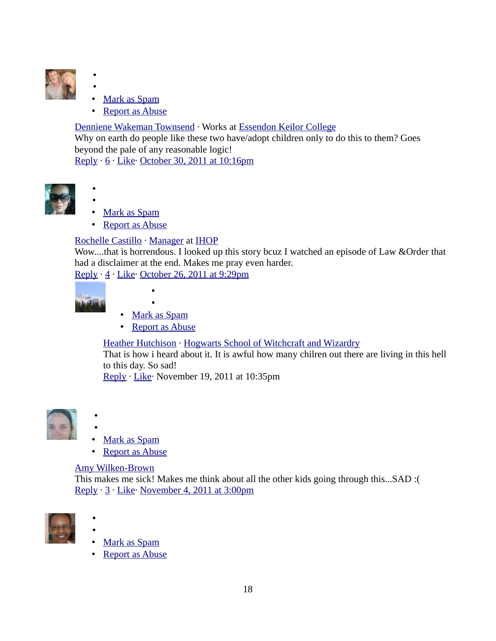

•

•

- Mark as Spam
- **Report as Abuse**

#### [Denniene Wakeman Townsend](http://www.facebook.com/denniene.wakemantownsend) · Works at [Essendon Keilor College](http://www.facebook.com/pages/Essendon-Keilor-College/108161329206119)

Why on earth do people like these two have/adopt children only to do this to them? Goes beyond the pale of any reasonable logic!

[Reply](https://www.facebook.com/plugins/comments.php?api_key=183406261716842&channel_url=http%3A%2F%2Fstatic.ak.facebook.com%2Fconnect%2Fxd_arbiter.php%3Fversion%3D9%23cb%3Df341edfe7ea90fa%26origin%3Dhttp%253A%252F%252Fwww.trutv.com%252Ff279020a468b0bc%26domain%3Dwww.trutv.com%26relation%3Dparent.parent&href=http%3A%2F%2Fwww.trutv.com%2Flibrary%2Fcrime%2Fnotorious_murders%2Ffamily%2Flisa_steinberg%2F1.html&locale=en_US&numposts=10&sdk=joey&width=620#) · [6](https://www.facebook.com/plugins/comments.php?api_key=183406261716842&channel_url=http%3A%2F%2Fstatic.ak.facebook.com%2Fconnect%2Fxd_arbiter.php%3Fversion%3D9%23cb%3Df341edfe7ea90fa%26origin%3Dhttp%253A%252F%252Fwww.trutv.com%252Ff279020a468b0bc%26domain%3Dwww.trutv.com%26relation%3Dparent.parent&href=http%3A%2F%2Fwww.trutv.com%2Flibrary%2Fcrime%2Fnotorious_murders%2Ffamily%2Flisa_steinberg%2F1.html&locale=en_US&numposts=10&sdk=joey&width=620#) · Like · [October 30, 2011 at 10:16pm](http://www.trutv.com/library/crime/notorious_murders/family/lisa_steinberg/1.html?fb_comment_id=fbc_417670969378_19643017_10150379384039379)



- Mark as Spam
- Report as Abuse

#### [Rochelle Castillo](https://www.facebook.com/plugins/comments.php?api_key=183406261716842&channel_url=http%3A%2F%2Fstatic.ak.facebook.com%2Fconnect%2Fxd_arbiter.php%3Fversion%3D9%23cb%3Df341edfe7ea90fa%26origin%3Dhttp%253A%252F%252Fwww.trutv.com%252Ff279020a468b0bc%26domain%3Dwww.trutv.com%26relation%3Dparent.parent&href=http%3A%2F%2Fwww.trutv.com%2Flibrary%2Fcrime%2Fnotorious_murders%2Ffamily%2Flisa_steinberg%2F1.html&locale=en_US&numposts=10&sdk=joey&width=620#) · [Manager](http://www.facebook.com/pages/Manager/106024342761361) at [IHOP](http://www.facebook.com/IHOP)

Wow....that is horrendous. I looked up this story bcuz I watched an episode of Law &Order that had a disclaimer at the end. Makes me pray even harder.

[Reply](https://www.facebook.com/plugins/comments.php?api_key=183406261716842&channel_url=http%3A%2F%2Fstatic.ak.facebook.com%2Fconnect%2Fxd_arbiter.php%3Fversion%3D9%23cb%3Df341edfe7ea90fa%26origin%3Dhttp%253A%252F%252Fwww.trutv.com%252Ff279020a468b0bc%26domain%3Dwww.trutv.com%26relation%3Dparent.parent&href=http%3A%2F%2Fwww.trutv.com%2Flibrary%2Fcrime%2Fnotorious_murders%2Ffamily%2Flisa_steinberg%2F1.html&locale=en_US&numposts=10&sdk=joey&width=620#) · [4](https://www.facebook.com/plugins/comments.php?api_key=183406261716842&channel_url=http%3A%2F%2Fstatic.ak.facebook.com%2Fconnect%2Fxd_arbiter.php%3Fversion%3D9%23cb%3Df341edfe7ea90fa%26origin%3Dhttp%253A%252F%252Fwww.trutv.com%252Ff279020a468b0bc%26domain%3Dwww.trutv.com%26relation%3Dparent.parent&href=http%3A%2F%2Fwww.trutv.com%2Flibrary%2Fcrime%2Fnotorious_murders%2Ffamily%2Flisa_steinberg%2F1.html&locale=en_US&numposts=10&sdk=joey&width=620#) · [Like·](https://www.facebook.com/plugins/comments.php?api_key=183406261716842&channel_url=http%3A%2F%2Fstatic.ak.facebook.com%2Fconnect%2Fxd_arbiter.php%3Fversion%3D9%23cb%3Df341edfe7ea90fa%26origin%3Dhttp%253A%252F%252Fwww.trutv.com%252Ff279020a468b0bc%26domain%3Dwww.trutv.com%26relation%3Dparent.parent&href=http%3A%2F%2Fwww.trutv.com%2Flibrary%2Fcrime%2Fnotorious_murders%2Ffamily%2Flisa_steinberg%2F1.html&locale=en_US&numposts=10&sdk=joey&width=620#) [October 26, 2011 at 9:29pm](http://www.trutv.com/library/crime/notorious_murders/family/lisa_steinberg/1.html?fb_comment_id=fbc_417670969378_19579000_10150374459944379)



• • [Mark as Spam](https://www.facebook.com/plugins/comments.php?api_key=183406261716842&channel_url=http%3A%2F%2Fstatic.ak.facebook.com%2Fconnect%2Fxd_arbiter.php%3Fversion%3D9%23cb%3Df341edfe7ea90fa%26origin%3Dhttp%253A%252F%252Fwww.trutv.com%252Ff279020a468b0bc%26domain%3Dwww.trutv.com%26relation%3Dparent.parent&href=http%3A%2F%2Fwww.trutv.com%2Flibrary%2Fcrime%2Fnotorious_murders%2Ffamily%2Flisa_steinberg%2F1.html&locale=en_US&numposts=10&sdk=joey&width=620#)

•

• [Report as Abuse](https://www.facebook.com/plugins/comments.php?api_key=183406261716842&channel_url=http%3A%2F%2Fstatic.ak.facebook.com%2Fconnect%2Fxd_arbiter.php%3Fversion%3D9%23cb%3Df341edfe7ea90fa%26origin%3Dhttp%253A%252F%252Fwww.trutv.com%252Ff279020a468b0bc%26domain%3Dwww.trutv.com%26relation%3Dparent.parent&href=http%3A%2F%2Fwww.trutv.com%2Flibrary%2Fcrime%2Fnotorious_murders%2Ffamily%2Flisa_steinberg%2F1.html&locale=en_US&numposts=10&sdk=joey&width=620#)

[Heather Hutchison](https://www.facebook.com/plugins/comments.php?api_key=183406261716842&channel_url=http%3A%2F%2Fstatic.ak.facebook.com%2Fconnect%2Fxd_arbiter.php%3Fversion%3D9%23cb%3Df341edfe7ea90fa%26origin%3Dhttp%253A%252F%252Fwww.trutv.com%252Ff279020a468b0bc%26domain%3Dwww.trutv.com%26relation%3Dparent.parent&href=http%3A%2F%2Fwww.trutv.com%2Flibrary%2Fcrime%2Fnotorious_murders%2Ffamily%2Flisa_steinberg%2F1.html&locale=en_US&numposts=10&sdk=joey&width=620#) · [Hogwarts School of Witchcraft and Wizardry](http://www.facebook.com/pages/Hogwarts-School-of-Witchcraft-and-Wizardry/106224342750379)

That is how i heard about it. It is awful how many chilren out there are living in this hell to this day. So sad!

[Reply](https://www.facebook.com/plugins/comments.php?api_key=183406261716842&channel_url=http%3A%2F%2Fstatic.ak.facebook.com%2Fconnect%2Fxd_arbiter.php%3Fversion%3D9%23cb%3Df341edfe7ea90fa%26origin%3Dhttp%253A%252F%252Fwww.trutv.com%252Ff279020a468b0bc%26domain%3Dwww.trutv.com%26relation%3Dparent.parent&href=http%3A%2F%2Fwww.trutv.com%2Flibrary%2Fcrime%2Fnotorious_murders%2Ffamily%2Flisa_steinberg%2F1.html&locale=en_US&numposts=10&sdk=joey&width=620#) · [Like·](https://www.facebook.com/plugins/comments.php?api_key=183406261716842&channel_url=http%3A%2F%2Fstatic.ak.facebook.com%2Fconnect%2Fxd_arbiter.php%3Fversion%3D9%23cb%3Df341edfe7ea90fa%26origin%3Dhttp%253A%252F%252Fwww.trutv.com%252Ff279020a468b0bc%26domain%3Dwww.trutv.com%26relation%3Dparent.parent&href=http%3A%2F%2Fwww.trutv.com%2Flibrary%2Fcrime%2Fnotorious_murders%2Ffamily%2Flisa_steinberg%2F1.html&locale=en_US&numposts=10&sdk=joey&width=620#) November 19, 2011 at 10:35pm



- •
- Mark as Spam
- • [Report as Abuse](https://www.facebook.com/plugins/comments.php?api_key=183406261716842&channel_url=http%3A%2F%2Fstatic.ak.facebook.com%2Fconnect%2Fxd_arbiter.php%3Fversion%3D9%23cb%3Df341edfe7ea90fa%26origin%3Dhttp%253A%252F%252Fwww.trutv.com%252Ff279020a468b0bc%26domain%3Dwww.trutv.com%26relation%3Dparent.parent&href=http%3A%2F%2Fwww.trutv.com%2Flibrary%2Fcrime%2Fnotorious_murders%2Ffamily%2Flisa_steinberg%2F1.html&locale=en_US&numposts=10&sdk=joey&width=620#)

#### [Amy Wilken-Brown](https://www.facebook.com/plugins/comments.php?api_key=183406261716842&channel_url=http%3A%2F%2Fstatic.ak.facebook.com%2Fconnect%2Fxd_arbiter.php%3Fversion%3D9%23cb%3Df341edfe7ea90fa%26origin%3Dhttp%253A%252F%252Fwww.trutv.com%252Ff279020a468b0bc%26domain%3Dwww.trutv.com%26relation%3Dparent.parent&href=http%3A%2F%2Fwww.trutv.com%2Flibrary%2Fcrime%2Fnotorious_murders%2Ffamily%2Flisa_steinberg%2F1.html&locale=en_US&numposts=10&sdk=joey&width=620#)

This makes me sick! Makes me think about all the other kids going through this...SAD :( [Reply](https://www.facebook.com/plugins/comments.php?api_key=183406261716842&channel_url=http%3A%2F%2Fstatic.ak.facebook.com%2Fconnect%2Fxd_arbiter.php%3Fversion%3D9%23cb%3Df341edfe7ea90fa%26origin%3Dhttp%253A%252F%252Fwww.trutv.com%252Ff279020a468b0bc%26domain%3Dwww.trutv.com%26relation%3Dparent.parent&href=http%3A%2F%2Fwww.trutv.com%2Flibrary%2Fcrime%2Fnotorious_murders%2Ffamily%2Flisa_steinberg%2F1.html&locale=en_US&numposts=10&sdk=joey&width=620#) · [3](https://www.facebook.com/plugins/comments.php?api_key=183406261716842&channel_url=http%3A%2F%2Fstatic.ak.facebook.com%2Fconnect%2Fxd_arbiter.php%3Fversion%3D9%23cb%3Df341edfe7ea90fa%26origin%3Dhttp%253A%252F%252Fwww.trutv.com%252Ff279020a468b0bc%26domain%3Dwww.trutv.com%26relation%3Dparent.parent&href=http%3A%2F%2Fwww.trutv.com%2Flibrary%2Fcrime%2Fnotorious_murders%2Ffamily%2Flisa_steinberg%2F1.html&locale=en_US&numposts=10&sdk=joey&width=620#) · [Like·](https://www.facebook.com/plugins/comments.php?api_key=183406261716842&channel_url=http%3A%2F%2Fstatic.ak.facebook.com%2Fconnect%2Fxd_arbiter.php%3Fversion%3D9%23cb%3Df341edfe7ea90fa%26origin%3Dhttp%253A%252F%252Fwww.trutv.com%252Ff279020a468b0bc%26domain%3Dwww.trutv.com%26relation%3Dparent.parent&href=http%3A%2F%2Fwww.trutv.com%2Flibrary%2Fcrime%2Fnotorious_murders%2Ffamily%2Flisa_steinberg%2F1.html&locale=en_US&numposts=10&sdk=joey&width=620#) [November 4, 2011 at 3:00pm](http://www.trutv.com/library/crime/notorious_murders/family/lisa_steinberg/1.html?fb_comment_id=fbc_417670969378_19722674_10150385674864379)



•

•

- Mark as Spam
- **Report as Abuse**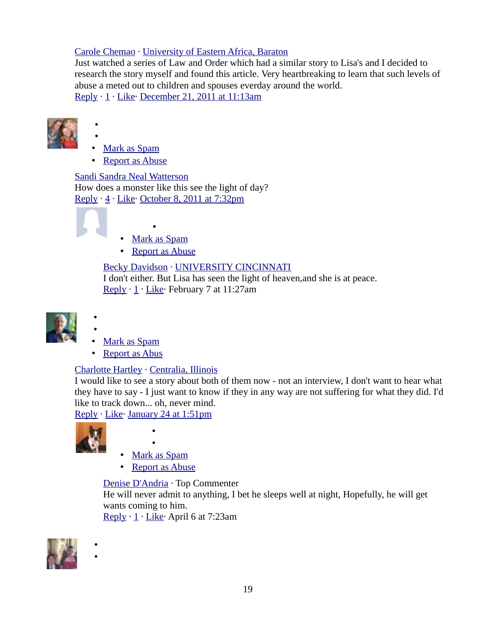#### [Carole Chemao](https://www.facebook.com/plugins/comments.php?api_key=183406261716842&channel_url=http%3A%2F%2Fstatic.ak.facebook.com%2Fconnect%2Fxd_arbiter.php%3Fversion%3D9%23cb%3Df341edfe7ea90fa%26origin%3Dhttp%253A%252F%252Fwww.trutv.com%252Ff279020a468b0bc%26domain%3Dwww.trutv.com%26relation%3Dparent.parent&href=http%3A%2F%2Fwww.trutv.com%2Flibrary%2Fcrime%2Fnotorious_murders%2Ffamily%2Flisa_steinberg%2F1.html&locale=en_US&numposts=10&sdk=joey&width=620#) · [University of Eastern Africa, Baraton](http://www.facebook.com/pages/University-of-Eastern-Africa-Baraton/108496232508659)

Just watched a series of Law and Order which had a similar story to Lisa's and I decided to research the story myself and found this article. Very heartbreaking to learn that such levels of abuse a meted out to children and spouses everday around the world. [Reply](https://www.facebook.com/plugins/comments.php?api_key=183406261716842&channel_url=http%3A%2F%2Fstatic.ak.facebook.com%2Fconnect%2Fxd_arbiter.php%3Fversion%3D9%23cb%3Df341edfe7ea90fa%26origin%3Dhttp%253A%252F%252Fwww.trutv.com%252Ff279020a468b0bc%26domain%3Dwww.trutv.com%26relation%3Dparent.parent&href=http%3A%2F%2Fwww.trutv.com%2Flibrary%2Fcrime%2Fnotorious_murders%2Ffamily%2Flisa_steinberg%2F1.html&locale=en_US&numposts=10&sdk=joey&width=620#) · [1](https://www.facebook.com/plugins/comments.php?api_key=183406261716842&channel_url=http%3A%2F%2Fstatic.ak.facebook.com%2Fconnect%2Fxd_arbiter.php%3Fversion%3D9%23cb%3Df341edfe7ea90fa%26origin%3Dhttp%253A%252F%252Fwww.trutv.com%252Ff279020a468b0bc%26domain%3Dwww.trutv.com%26relation%3Dparent.parent&href=http%3A%2F%2Fwww.trutv.com%2Flibrary%2Fcrime%2Fnotorious_murders%2Ffamily%2Flisa_steinberg%2F1.html&locale=en_US&numposts=10&sdk=joey&width=620#) · [Like·](https://www.facebook.com/plugins/comments.php?api_key=183406261716842&channel_url=http%3A%2F%2Fstatic.ak.facebook.com%2Fconnect%2Fxd_arbiter.php%3Fversion%3D9%23cb%3Df341edfe7ea90fa%26origin%3Dhttp%253A%252F%252Fwww.trutv.com%252Ff279020a468b0bc%26domain%3Dwww.trutv.com%26relation%3Dparent.parent&href=http%3A%2F%2Fwww.trutv.com%2Flibrary%2Fcrime%2Fnotorious_murders%2Ffamily%2Flisa_steinberg%2F1.html&locale=en_US&numposts=10&sdk=joey&width=620#) [December 21, 2011 at 11:13am](http://www.trutv.com/library/crime/notorious_murders/family/lisa_steinberg/1.html?fb_comment_id=fbc_417670969378_20517914_10150483160059379)



•

•

- • [Mark as Spam](https://www.facebook.com/plugins/comments.php?api_key=183406261716842&channel_url=http%3A%2F%2Fstatic.ak.facebook.com%2Fconnect%2Fxd_arbiter.php%3Fversion%3D9%23cb%3Df341edfe7ea90fa%26origin%3Dhttp%253A%252F%252Fwww.trutv.com%252Ff279020a468b0bc%26domain%3Dwww.trutv.com%26relation%3Dparent.parent&href=http%3A%2F%2Fwww.trutv.com%2Flibrary%2Fcrime%2Fnotorious_murders%2Ffamily%2Flisa_steinberg%2F1.html&locale=en_US&numposts=10&sdk=joey&width=620#)
- Report as Abuse

[Sandi Sandra Neal Watterson](https://www.facebook.com/plugins/comments.php?api_key=183406261716842&channel_url=http%3A%2F%2Fstatic.ak.facebook.com%2Fconnect%2Fxd_arbiter.php%3Fversion%3D9%23cb%3Df341edfe7ea90fa%26origin%3Dhttp%253A%252F%252Fwww.trutv.com%252Ff279020a468b0bc%26domain%3Dwww.trutv.com%26relation%3Dparent.parent&href=http%3A%2F%2Fwww.trutv.com%2Flibrary%2Fcrime%2Fnotorious_murders%2Ffamily%2Flisa_steinberg%2F1.html&locale=en_US&numposts=10&sdk=joey&width=620#) How does a monster like this see the light of day? [Reply](https://www.facebook.com/plugins/comments.php?api_key=183406261716842&channel_url=http%3A%2F%2Fstatic.ak.facebook.com%2Fconnect%2Fxd_arbiter.php%3Fversion%3D9%23cb%3Df341edfe7ea90fa%26origin%3Dhttp%253A%252F%252Fwww.trutv.com%252Ff279020a468b0bc%26domain%3Dwww.trutv.com%26relation%3Dparent.parent&href=http%3A%2F%2Fwww.trutv.com%2Flibrary%2Fcrime%2Fnotorious_murders%2Ffamily%2Flisa_steinberg%2F1.html&locale=en_US&numposts=10&sdk=joey&width=620#) · [4](https://www.facebook.com/plugins/comments.php?api_key=183406261716842&channel_url=http%3A%2F%2Fstatic.ak.facebook.com%2Fconnect%2Fxd_arbiter.php%3Fversion%3D9%23cb%3Df341edfe7ea90fa%26origin%3Dhttp%253A%252F%252Fwww.trutv.com%252Ff279020a468b0bc%26domain%3Dwww.trutv.com%26relation%3Dparent.parent&href=http%3A%2F%2Fwww.trutv.com%2Flibrary%2Fcrime%2Fnotorious_murders%2Ffamily%2Flisa_steinberg%2F1.html&locale=en_US&numposts=10&sdk=joey&width=620#) · [Like·](https://www.facebook.com/plugins/comments.php?api_key=183406261716842&channel_url=http%3A%2F%2Fstatic.ak.facebook.com%2Fconnect%2Fxd_arbiter.php%3Fversion%3D9%23cb%3Df341edfe7ea90fa%26origin%3Dhttp%253A%252F%252Fwww.trutv.com%252Ff279020a468b0bc%26domain%3Dwww.trutv.com%26relation%3Dparent.parent&href=http%3A%2F%2Fwww.trutv.com%2Flibrary%2Fcrime%2Fnotorious_murders%2Ffamily%2Flisa_steinberg%2F1.html&locale=en_US&numposts=10&sdk=joey&width=620#) [October 8, 2011 at 7:32pm](http://www.trutv.com/library/crime/notorious_murders/family/lisa_steinberg/1.html?fb_comment_id=fbc_417670969378_19278206_10150350762694379)



• •

- • [Mark as Spam](https://www.facebook.com/plugins/comments.php?api_key=183406261716842&channel_url=http%3A%2F%2Fstatic.ak.facebook.com%2Fconnect%2Fxd_arbiter.php%3Fversion%3D9%23cb%3Df341edfe7ea90fa%26origin%3Dhttp%253A%252F%252Fwww.trutv.com%252Ff279020a468b0bc%26domain%3Dwww.trutv.com%26relation%3Dparent.parent&href=http%3A%2F%2Fwww.trutv.com%2Flibrary%2Fcrime%2Fnotorious_murders%2Ffamily%2Flisa_steinberg%2F1.html&locale=en_US&numposts=10&sdk=joey&width=620#)
- • [Report as Abuse](https://www.facebook.com/plugins/comments.php?api_key=183406261716842&channel_url=http%3A%2F%2Fstatic.ak.facebook.com%2Fconnect%2Fxd_arbiter.php%3Fversion%3D9%23cb%3Df341edfe7ea90fa%26origin%3Dhttp%253A%252F%252Fwww.trutv.com%252Ff279020a468b0bc%26domain%3Dwww.trutv.com%26relation%3Dparent.parent&href=http%3A%2F%2Fwww.trutv.com%2Flibrary%2Fcrime%2Fnotorious_murders%2Ffamily%2Flisa_steinberg%2F1.html&locale=en_US&numposts=10&sdk=joey&width=620#)

## [Becky Davidson](http://www.facebook.com/becky.davidson.716) · [UNIVERSITY CINCINNATI](http://www.facebook.com/pages/UNIVERSITY-CINCINNATI/124343767603789)

I don't either. But Lisa has seen the light of heaven,and she is at peace. [Reply](https://www.facebook.com/plugins/comments.php?api_key=183406261716842&channel_url=http%3A%2F%2Fstatic.ak.facebook.com%2Fconnect%2Fxd_arbiter.php%3Fversion%3D9%23cb%3Df341edfe7ea90fa%26origin%3Dhttp%253A%252F%252Fwww.trutv.com%252Ff279020a468b0bc%26domain%3Dwww.trutv.com%26relation%3Dparent.parent&href=http%3A%2F%2Fwww.trutv.com%2Flibrary%2Fcrime%2Fnotorious_murders%2Ffamily%2Flisa_steinberg%2F1.html&locale=en_US&numposts=10&sdk=joey&width=620#) · [1](https://www.facebook.com/plugins/comments.php?api_key=183406261716842&channel_url=http%3A%2F%2Fstatic.ak.facebook.com%2Fconnect%2Fxd_arbiter.php%3Fversion%3D9%23cb%3Df341edfe7ea90fa%26origin%3Dhttp%253A%252F%252Fwww.trutv.com%252Ff279020a468b0bc%26domain%3Dwww.trutv.com%26relation%3Dparent.parent&href=http%3A%2F%2Fwww.trutv.com%2Flibrary%2Fcrime%2Fnotorious_murders%2Ffamily%2Flisa_steinberg%2F1.html&locale=en_US&numposts=10&sdk=joey&width=620#) · [Like·](https://www.facebook.com/plugins/comments.php?api_key=183406261716842&channel_url=http%3A%2F%2Fstatic.ak.facebook.com%2Fconnect%2Fxd_arbiter.php%3Fversion%3D9%23cb%3Df341edfe7ea90fa%26origin%3Dhttp%253A%252F%252Fwww.trutv.com%252Ff279020a468b0bc%26domain%3Dwww.trutv.com%26relation%3Dparent.parent&href=http%3A%2F%2Fwww.trutv.com%2Flibrary%2Fcrime%2Fnotorious_murders%2Ffamily%2Flisa_steinberg%2F1.html&locale=en_US&numposts=10&sdk=joey&width=620#) February 7 at 11:27am



- Mark as Spam
- • [Report as Abus](https://www.facebook.com/plugins/comments.php?api_key=183406261716842&channel_url=http%3A%2F%2Fstatic.ak.facebook.com%2Fconnect%2Fxd_arbiter.php%3Fversion%3D9%23cb%3Df341edfe7ea90fa%26origin%3Dhttp%253A%252F%252Fwww.trutv.com%252Ff279020a468b0bc%26domain%3Dwww.trutv.com%26relation%3Dparent.parent&href=http%3A%2F%2Fwww.trutv.com%2Flibrary%2Fcrime%2Fnotorious_murders%2Ffamily%2Flisa_steinberg%2F1.html&locale=en_US&numposts=10&sdk=joey&width=620#)

#### [Charlotte Hartley](http://www.facebook.com/turdmuckle) · [Centralia, Illinois](http://www.facebook.com/pages/Centralia-Illinois/103116343061909)

I would like to see a story about both of them now - not an interview, I don't want to hear what they have to say - I just want to know if they in any way are not suffering for what they did. I'd like to track down... oh, never mind.

[Reply](https://www.facebook.com/plugins/comments.php?api_key=183406261716842&channel_url=http%3A%2F%2Fstatic.ak.facebook.com%2Fconnect%2Fxd_arbiter.php%3Fversion%3D9%23cb%3Df341edfe7ea90fa%26origin%3Dhttp%253A%252F%252Fwww.trutv.com%252Ff279020a468b0bc%26domain%3Dwww.trutv.com%26relation%3Dparent.parent&href=http%3A%2F%2Fwww.trutv.com%2Flibrary%2Fcrime%2Fnotorious_murders%2Ffamily%2Flisa_steinberg%2F1.html&locale=en_US&numposts=10&sdk=joey&width=620#) · [Like·](https://www.facebook.com/plugins/comments.php?api_key=183406261716842&channel_url=http%3A%2F%2Fstatic.ak.facebook.com%2Fconnect%2Fxd_arbiter.php%3Fversion%3D9%23cb%3Df341edfe7ea90fa%26origin%3Dhttp%253A%252F%252Fwww.trutv.com%252Ff279020a468b0bc%26domain%3Dwww.trutv.com%26relation%3Dparent.parent&href=http%3A%2F%2Fwww.trutv.com%2Flibrary%2Fcrime%2Fnotorious_murders%2Ffamily%2Flisa_steinberg%2F1.html&locale=en_US&numposts=10&sdk=joey&width=620#) [January 24 at 1:51pm](http://www.trutv.com/library/crime/notorious_murders/family/lisa_steinberg/1.html?fb_comment_id=fbc_417670969378_21052709_10150560292419379)



• •

- •
- • [Mark as Spam](https://www.facebook.com/plugins/comments.php?api_key=183406261716842&channel_url=http%3A%2F%2Fstatic.ak.facebook.com%2Fconnect%2Fxd_arbiter.php%3Fversion%3D9%23cb%3Df341edfe7ea90fa%26origin%3Dhttp%253A%252F%252Fwww.trutv.com%252Ff279020a468b0bc%26domain%3Dwww.trutv.com%26relation%3Dparent.parent&href=http%3A%2F%2Fwww.trutv.com%2Flibrary%2Fcrime%2Fnotorious_murders%2Ffamily%2Flisa_steinberg%2F1.html&locale=en_US&numposts=10&sdk=joey&width=620#)
- • [Report as Abuse](https://www.facebook.com/plugins/comments.php?api_key=183406261716842&channel_url=http%3A%2F%2Fstatic.ak.facebook.com%2Fconnect%2Fxd_arbiter.php%3Fversion%3D9%23cb%3Df341edfe7ea90fa%26origin%3Dhttp%253A%252F%252Fwww.trutv.com%252Ff279020a468b0bc%26domain%3Dwww.trutv.com%26relation%3Dparent.parent&href=http%3A%2F%2Fwww.trutv.com%2Flibrary%2Fcrime%2Fnotorious_murders%2Ffamily%2Flisa_steinberg%2F1.html&locale=en_US&numposts=10&sdk=joey&width=620#)

[Denise D'Andria](https://www.facebook.com/plugins/comments.php?api_key=183406261716842&channel_url=http%3A%2F%2Fstatic.ak.facebook.com%2Fconnect%2Fxd_arbiter.php%3Fversion%3D9%23cb%3Df341edfe7ea90fa%26origin%3Dhttp%253A%252F%252Fwww.trutv.com%252Ff279020a468b0bc%26domain%3Dwww.trutv.com%26relation%3Dparent.parent&href=http%3A%2F%2Fwww.trutv.com%2Flibrary%2Fcrime%2Fnotorious_murders%2Ffamily%2Flisa_steinberg%2F1.html&locale=en_US&numposts=10&sdk=joey&width=620#) · Top Commenter

He will never admit to anything, I bet he sleeps well at night, Hopefully, he will get wants coming to him.

[Reply](https://www.facebook.com/plugins/comments.php?api_key=183406261716842&channel_url=http%3A%2F%2Fstatic.ak.facebook.com%2Fconnect%2Fxd_arbiter.php%3Fversion%3D9%23cb%3Df341edfe7ea90fa%26origin%3Dhttp%253A%252F%252Fwww.trutv.com%252Ff279020a468b0bc%26domain%3Dwww.trutv.com%26relation%3Dparent.parent&href=http%3A%2F%2Fwww.trutv.com%2Flibrary%2Fcrime%2Fnotorious_murders%2Ffamily%2Flisa_steinberg%2F1.html&locale=en_US&numposts=10&sdk=joey&width=620#) · [1](https://www.facebook.com/plugins/comments.php?api_key=183406261716842&channel_url=http%3A%2F%2Fstatic.ak.facebook.com%2Fconnect%2Fxd_arbiter.php%3Fversion%3D9%23cb%3Df341edfe7ea90fa%26origin%3Dhttp%253A%252F%252Fwww.trutv.com%252Ff279020a468b0bc%26domain%3Dwww.trutv.com%26relation%3Dparent.parent&href=http%3A%2F%2Fwww.trutv.com%2Flibrary%2Fcrime%2Fnotorious_murders%2Ffamily%2Flisa_steinberg%2F1.html&locale=en_US&numposts=10&sdk=joey&width=620#) · [Like·](https://www.facebook.com/plugins/comments.php?api_key=183406261716842&channel_url=http%3A%2F%2Fstatic.ak.facebook.com%2Fconnect%2Fxd_arbiter.php%3Fversion%3D9%23cb%3Df341edfe7ea90fa%26origin%3Dhttp%253A%252F%252Fwww.trutv.com%252Ff279020a468b0bc%26domain%3Dwww.trutv.com%26relation%3Dparent.parent&href=http%3A%2F%2Fwww.trutv.com%2Flibrary%2Fcrime%2Fnotorious_murders%2Ffamily%2Flisa_steinberg%2F1.html&locale=en_US&numposts=10&sdk=joey&width=620#) April 6 at 7:23am

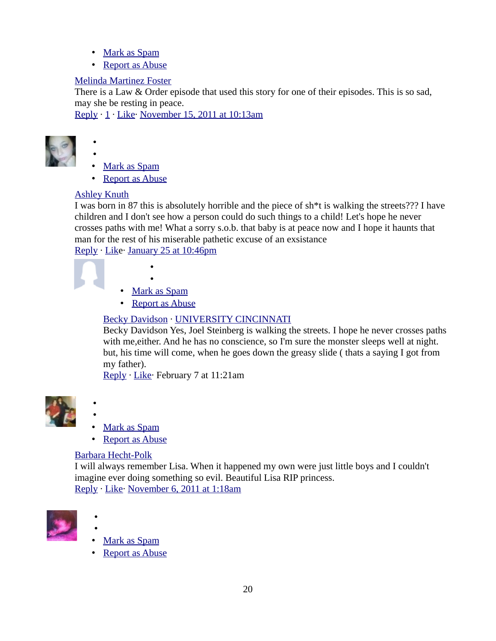- • [Mark as Spam](https://www.facebook.com/plugins/comments.php?api_key=183406261716842&channel_url=http%3A%2F%2Fstatic.ak.facebook.com%2Fconnect%2Fxd_arbiter.php%3Fversion%3D9%23cb%3Df341edfe7ea90fa%26origin%3Dhttp%253A%252F%252Fwww.trutv.com%252Ff279020a468b0bc%26domain%3Dwww.trutv.com%26relation%3Dparent.parent&href=http%3A%2F%2Fwww.trutv.com%2Flibrary%2Fcrime%2Fnotorious_murders%2Ffamily%2Flisa_steinberg%2F1.html&locale=en_US&numposts=10&sdk=joey&width=620#)
- • [Report as Abuse](https://www.facebook.com/plugins/comments.php?api_key=183406261716842&channel_url=http%3A%2F%2Fstatic.ak.facebook.com%2Fconnect%2Fxd_arbiter.php%3Fversion%3D9%23cb%3Df341edfe7ea90fa%26origin%3Dhttp%253A%252F%252Fwww.trutv.com%252Ff279020a468b0bc%26domain%3Dwww.trutv.com%26relation%3Dparent.parent&href=http%3A%2F%2Fwww.trutv.com%2Flibrary%2Fcrime%2Fnotorious_murders%2Ffamily%2Flisa_steinberg%2F1.html&locale=en_US&numposts=10&sdk=joey&width=620#)

#### [Melinda Martinez Foster](http://www.facebook.com/melinda.martinezfoster)

There is a Law & Order episode that used this story for one of their episodes. This is so sad, may she be resting in peace.

[Reply](https://www.facebook.com/plugins/comments.php?api_key=183406261716842&channel_url=http%3A%2F%2Fstatic.ak.facebook.com%2Fconnect%2Fxd_arbiter.php%3Fversion%3D9%23cb%3Df341edfe7ea90fa%26origin%3Dhttp%253A%252F%252Fwww.trutv.com%252Ff279020a468b0bc%26domain%3Dwww.trutv.com%26relation%3Dparent.parent&href=http%3A%2F%2Fwww.trutv.com%2Flibrary%2Fcrime%2Fnotorious_murders%2Ffamily%2Flisa_steinberg%2F1.html&locale=en_US&numposts=10&sdk=joey&width=620#) · [1](https://www.facebook.com/plugins/comments.php?api_key=183406261716842&channel_url=http%3A%2F%2Fstatic.ak.facebook.com%2Fconnect%2Fxd_arbiter.php%3Fversion%3D9%23cb%3Df341edfe7ea90fa%26origin%3Dhttp%253A%252F%252Fwww.trutv.com%252Ff279020a468b0bc%26domain%3Dwww.trutv.com%26relation%3Dparent.parent&href=http%3A%2F%2Fwww.trutv.com%2Flibrary%2Fcrime%2Fnotorious_murders%2Ffamily%2Flisa_steinberg%2F1.html&locale=en_US&numposts=10&sdk=joey&width=620#) · [Like·](https://www.facebook.com/plugins/comments.php?api_key=183406261716842&channel_url=http%3A%2F%2Fstatic.ak.facebook.com%2Fconnect%2Fxd_arbiter.php%3Fversion%3D9%23cb%3Df341edfe7ea90fa%26origin%3Dhttp%253A%252F%252Fwww.trutv.com%252Ff279020a468b0bc%26domain%3Dwww.trutv.com%26relation%3Dparent.parent&href=http%3A%2F%2Fwww.trutv.com%2Flibrary%2Fcrime%2Fnotorious_murders%2Ffamily%2Flisa_steinberg%2F1.html&locale=en_US&numposts=10&sdk=joey&width=620#) [November 15, 2011 at 10:13am](http://www.facebook.com/l.php?u=http%3A%2F%2Fwww.trutv.com%2Flibrary%2Fcrime%2Fnotorious_murders%2Ffamily%2Flisa_steinberg%2F1.html%3Ffb_comment_id%3Dfbc_417670969378_19899984_10150403273044379&h=oAQHMmtkK&s=1)



- • [Mark as Spam](https://www.facebook.com/plugins/comments.php?api_key=183406261716842&channel_url=http%3A%2F%2Fstatic.ak.facebook.com%2Fconnect%2Fxd_arbiter.php%3Fversion%3D9%23cb%3Df341edfe7ea90fa%26origin%3Dhttp%253A%252F%252Fwww.trutv.com%252Ff279020a468b0bc%26domain%3Dwww.trutv.com%26relation%3Dparent.parent&href=http%3A%2F%2Fwww.trutv.com%2Flibrary%2Fcrime%2Fnotorious_murders%2Ffamily%2Flisa_steinberg%2F1.html&locale=en_US&numposts=10&sdk=joey&width=620#)
- • [Report as Abuse](https://www.facebook.com/plugins/comments.php?api_key=183406261716842&channel_url=http%3A%2F%2Fstatic.ak.facebook.com%2Fconnect%2Fxd_arbiter.php%3Fversion%3D9%23cb%3Df341edfe7ea90fa%26origin%3Dhttp%253A%252F%252Fwww.trutv.com%252Ff279020a468b0bc%26domain%3Dwww.trutv.com%26relation%3Dparent.parent&href=http%3A%2F%2Fwww.trutv.com%2Flibrary%2Fcrime%2Fnotorious_murders%2Ffamily%2Flisa_steinberg%2F1.html&locale=en_US&numposts=10&sdk=joey&width=620#)

## [Ashley Knuth](http://www.facebook.com/ashley.knuth.3)

•

I was born in 87 this is absolutely horrible and the piece of sh\*t is walking the streets??? I have children and I don't see how a person could do such things to a child! Let's hope he never crosses paths with me! What a sorry s.o.b. that baby is at peace now and I hope it haunts that man for the rest of his miserable pathetic excuse of an exsistance [Reply](https://www.facebook.com/plugins/comments.php?api_key=183406261716842&channel_url=http%3A%2F%2Fstatic.ak.facebook.com%2Fconnect%2Fxd_arbiter.php%3Fversion%3D9%23cb%3Df341edfe7ea90fa%26origin%3Dhttp%253A%252F%252Fwww.trutv.com%252Ff279020a468b0bc%26domain%3Dwww.trutv.com%26relation%3Dparent.parent&href=http%3A%2F%2Fwww.trutv.com%2Flibrary%2Fcrime%2Fnotorious_murders%2Ffamily%2Flisa_steinberg%2F1.html&locale=en_US&numposts=10&sdk=joey&width=620#) · [Like](https://www.facebook.com/plugins/comments.php?api_key=183406261716842&channel_url=http%3A%2F%2Fstatic.ak.facebook.com%2Fconnect%2Fxd_arbiter.php%3Fversion%3D9%23cb%3Df341edfe7ea90fa%26origin%3Dhttp%253A%252F%252Fwww.trutv.com%252Ff279020a468b0bc%26domain%3Dwww.trutv.com%26relation%3Dparent.parent&href=http%3A%2F%2Fwww.trutv.com%2Flibrary%2Fcrime%2Fnotorious_murders%2Ffamily%2Flisa_steinberg%2F1.html&locale=en_US&numposts=10&sdk=joey&width=620#)· [January 25 at 10:46pm](http://www.facebook.com/l.php?u=http%3A%2F%2Fwww.trutv.com%2Flibrary%2Fcrime%2Fnotorious_murders%2Ffamily%2Flisa_steinberg%2F1.html%3Ffb_comment_id%3Dfbc_417670969378_21074643_10150563749859379&h=BAQG7vNTy&s=1)

• • [Mark as Spam](https://www.facebook.com/plugins/comments.php?api_key=183406261716842&channel_url=http%3A%2F%2Fstatic.ak.facebook.com%2Fconnect%2Fxd_arbiter.php%3Fversion%3D9%23cb%3Df341edfe7ea90fa%26origin%3Dhttp%253A%252F%252Fwww.trutv.com%252Ff279020a468b0bc%26domain%3Dwww.trutv.com%26relation%3Dparent.parent&href=http%3A%2F%2Fwww.trutv.com%2Flibrary%2Fcrime%2Fnotorious_murders%2Ffamily%2Flisa_steinberg%2F1.html&locale=en_US&numposts=10&sdk=joey&width=620#)

•

• [Report as Abuse](https://www.facebook.com/plugins/comments.php?api_key=183406261716842&channel_url=http%3A%2F%2Fstatic.ak.facebook.com%2Fconnect%2Fxd_arbiter.php%3Fversion%3D9%23cb%3Df341edfe7ea90fa%26origin%3Dhttp%253A%252F%252Fwww.trutv.com%252Ff279020a468b0bc%26domain%3Dwww.trutv.com%26relation%3Dparent.parent&href=http%3A%2F%2Fwww.trutv.com%2Flibrary%2Fcrime%2Fnotorious_murders%2Ffamily%2Flisa_steinberg%2F1.html&locale=en_US&numposts=10&sdk=joey&width=620#)

## [Becky Davidson](http://www.facebook.com/becky.davidson.716) · [UNIVERSITY CINCINNATI](http://www.facebook.com/pages/UNIVERSITY-CINCINNATI/124343767603789)

Becky Davidson Yes, Joel Steinberg is walking the streets. I hope he never crosses paths with me,either. And he has no conscience, so I'm sure the monster sleeps well at night. but, his time will come, when he goes down the greasy slide ( thats a saying I got from my father).

[Reply](https://www.facebook.com/plugins/comments.php?api_key=183406261716842&channel_url=http%3A%2F%2Fstatic.ak.facebook.com%2Fconnect%2Fxd_arbiter.php%3Fversion%3D9%23cb%3Df341edfe7ea90fa%26origin%3Dhttp%253A%252F%252Fwww.trutv.com%252Ff279020a468b0bc%26domain%3Dwww.trutv.com%26relation%3Dparent.parent&href=http%3A%2F%2Fwww.trutv.com%2Flibrary%2Fcrime%2Fnotorious_murders%2Ffamily%2Flisa_steinberg%2F1.html&locale=en_US&numposts=10&sdk=joey&width=620#) · [Like·](https://www.facebook.com/plugins/comments.php?api_key=183406261716842&channel_url=http%3A%2F%2Fstatic.ak.facebook.com%2Fconnect%2Fxd_arbiter.php%3Fversion%3D9%23cb%3Df341edfe7ea90fa%26origin%3Dhttp%253A%252F%252Fwww.trutv.com%252Ff279020a468b0bc%26domain%3Dwww.trutv.com%26relation%3Dparent.parent&href=http%3A%2F%2Fwww.trutv.com%2Flibrary%2Fcrime%2Fnotorious_murders%2Ffamily%2Flisa_steinberg%2F1.html&locale=en_US&numposts=10&sdk=joey&width=620#) February 7 at 11:21am



- Mark as Spam
- • [Report as Abuse](https://www.facebook.com/plugins/comments.php?api_key=183406261716842&channel_url=http%3A%2F%2Fstatic.ak.facebook.com%2Fconnect%2Fxd_arbiter.php%3Fversion%3D9%23cb%3Df341edfe7ea90fa%26origin%3Dhttp%253A%252F%252Fwww.trutv.com%252Ff279020a468b0bc%26domain%3Dwww.trutv.com%26relation%3Dparent.parent&href=http%3A%2F%2Fwww.trutv.com%2Flibrary%2Fcrime%2Fnotorious_murders%2Ffamily%2Flisa_steinberg%2F1.html&locale=en_US&numposts=10&sdk=joey&width=620#)

#### [Barbara Hecht-Polk](http://www.facebook.com/barbara.hechtpolk)

•

I will always remember Lisa. When it happened my own were just little boys and I couldn't imagine ever doing something so evil. Beautiful Lisa RIP princess. [Reply](https://www.facebook.com/plugins/comments.php?api_key=183406261716842&channel_url=http%3A%2F%2Fstatic.ak.facebook.com%2Fconnect%2Fxd_arbiter.php%3Fversion%3D9%23cb%3Df341edfe7ea90fa%26origin%3Dhttp%253A%252F%252Fwww.trutv.com%252Ff279020a468b0bc%26domain%3Dwww.trutv.com%26relation%3Dparent.parent&href=http%3A%2F%2Fwww.trutv.com%2Flibrary%2Fcrime%2Fnotorious_murders%2Ffamily%2Flisa_steinberg%2F1.html&locale=en_US&numposts=10&sdk=joey&width=620#) · [Like·](https://www.facebook.com/plugins/comments.php?api_key=183406261716842&channel_url=http%3A%2F%2Fstatic.ak.facebook.com%2Fconnect%2Fxd_arbiter.php%3Fversion%3D9%23cb%3Df341edfe7ea90fa%26origin%3Dhttp%253A%252F%252Fwww.trutv.com%252Ff279020a468b0bc%26domain%3Dwww.trutv.com%26relation%3Dparent.parent&href=http%3A%2F%2Fwww.trutv.com%2Flibrary%2Fcrime%2Fnotorious_murders%2Ffamily%2Flisa_steinberg%2F1.html&locale=en_US&numposts=10&sdk=joey&width=620#) [November 6, 2011 at 1:18am](http://www.facebook.com/l.php?u=http%3A%2F%2Fwww.trutv.com%2Flibrary%2Fcrime%2Fnotorious_murders%2Ffamily%2Flisa_steinberg%2F1.html%3Ffb_comment_id%3Dfbc_417670969378_19743764_10150387303184379&h=EAQG6jO6E&s=1)



•

•

- • [Mark as Spam](https://www.facebook.com/plugins/comments.php?api_key=183406261716842&channel_url=http%3A%2F%2Fstatic.ak.facebook.com%2Fconnect%2Fxd_arbiter.php%3Fversion%3D9%23cb%3Df341edfe7ea90fa%26origin%3Dhttp%253A%252F%252Fwww.trutv.com%252Ff279020a468b0bc%26domain%3Dwww.trutv.com%26relation%3Dparent.parent&href=http%3A%2F%2Fwww.trutv.com%2Flibrary%2Fcrime%2Fnotorious_murders%2Ffamily%2Flisa_steinberg%2F1.html&locale=en_US&numposts=10&sdk=joey&width=620#)
- Report as Abuse